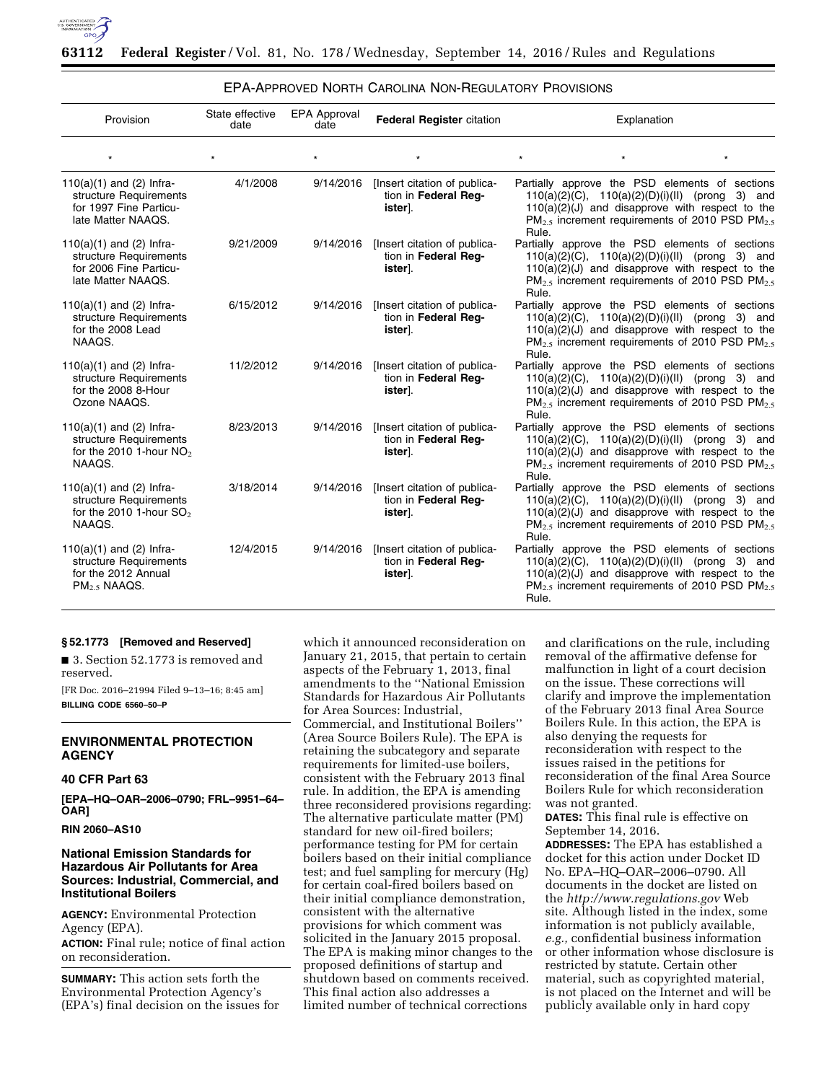

| Provision                                                                                                 | State effective<br>date | <b>EPA Approval</b><br>date | <b>Federal Register citation</b>                                | Explanation                                                                                                                                                                                                                                    |
|-----------------------------------------------------------------------------------------------------------|-------------------------|-----------------------------|-----------------------------------------------------------------|------------------------------------------------------------------------------------------------------------------------------------------------------------------------------------------------------------------------------------------------|
| $\star$                                                                                                   |                         |                             | $\star$                                                         | $\star$                                                                                                                                                                                                                                        |
| $110(a)(1)$ and (2) Infra-<br>structure Requirements<br>for 1997 Fine Particu-<br>late Matter NAAQS.      | 4/1/2008                | 9/14/2016                   | [Insert citation of publica-<br>tion in Federal Req-<br>ister]. | Partially approve the PSD elements of sections<br>$110(a)(2)(C)$ , $110(a)(2)(D)(i)(II)$ (prong 3) and<br>$110(a)(2)(J)$ and disapprove with respect to the<br>PM <sub>2.5</sub> increment requirements of 2010 PSD PM <sub>2.5</sub><br>Rule. |
| $110(a)(1)$ and (2) Infra-<br>structure Requirements<br>for 2006 Fine Particu-<br>late Matter NAAQS.      | 9/21/2009               | 9/14/2016                   | [Insert citation of publica-<br>tion in Federal Req-<br>ister]. | Partially approve the PSD elements of sections<br>$110(a)(2)(C)$ , $110(a)(2)(D)(i)(II)$ (prong 3) and<br>$110(a)(2)(J)$ and disapprove with respect to the<br>$PM_{2.5}$ increment requirements of 2010 PSD PM $_{2.5}$<br>Rule.              |
| $110(a)(1)$ and (2) Infra-<br>structure Requirements<br>for the 2008 Lead<br>NAAQS.                       | 6/15/2012               | 9/14/2016                   | [Insert citation of publica-<br>tion in Federal Req-<br>ister]. | Partially approve the PSD elements of sections<br>$110(a)(2)(C)$ , $110(a)(2)(D)(i)(II)$ (prong 3) and<br>$110(a)(2)(J)$ and disapprove with respect to the<br>$PM_{2.5}$ increment requirements of 2010 PSD PM $_{2.5}$<br>Rule.              |
| $110(a)(1)$ and (2) Infra-<br>structure Requirements<br>for the 2008 8-Hour<br>Ozone NAAQS.               | 11/2/2012               | 9/14/2016                   | [Insert citation of publica-<br>tion in Federal Req-<br>ister]. | Partially approve the PSD elements of sections<br>$110(a)(2)(C)$ , $110(a)(2)(D)(i)(II)$ (prong 3) and<br>$110(a)(2)(J)$ and disapprove with respect to the<br>$PM_{2.5}$ increment requirements of 2010 PSD PM $_{2.5}$<br>Rule.              |
| $110(a)(1)$ and $(2)$ Infra-<br>structure Requirements<br>for the 2010 1-hour $NO2$<br>NAAQS.             | 8/23/2013               | 9/14/2016                   | [Insert citation of publica-<br>tion in Federal Req-<br>ister]. | Partially approve the PSD elements of sections<br>$110(a)(2)(C)$ , $110(a)(2)(D)(i)(II)$ (prong 3) and<br>$110(a)(2)(J)$ and disapprove with respect to the<br>PM <sub>2.5</sub> increment requirements of 2010 PSD PM <sub>2.5</sub><br>Rule. |
| $110(a)(1)$ and $(2)$ Infra-<br>structure Requirements<br>for the 2010 1-hour $SO2$<br>NAAQS.             | 3/18/2014               | 9/14/2016                   | [Insert citation of publica-<br>tion in Federal Req-<br>ister.  | Partially approve the PSD elements of sections<br>$110(a)(2)(C)$ , $110(a)(2)(D)(i)(II)$ (prong 3) and<br>$110(a)(2)(J)$ and disapprove with respect to the<br>$PM_{2.5}$ increment requirements of 2010 PSD PM $_{2.5}$<br>Rule.              |
| $110(a)(1)$ and $(2)$ Infra-<br>structure Requirements<br>for the 2012 Annual<br>PM <sub>2.5</sub> NAAGS. | 12/4/2015               | 9/14/2016                   | [Insert citation of publica-<br>tion in Federal Req-<br>ister.  | Partially approve the PSD elements of sections<br>$110(a)(2)(C)$ , $110(a)(2)(D)(i)(II)$ (prong 3) and<br>$110(a)(2)(J)$ and disapprove with respect to the<br>$PM_{2.5}$ increment requirements of 2010 PSD PM $_{2.5}$<br>Rule.              |

### EPA-APPROVED NORTH CAROLINA NON-REGULATORY PROVISIONS

### **§ 52.1773 [Removed and Reserved]**

■ 3. Section 52.1773 is removed and reserved.

[FR Doc. 2016–21994 Filed 9–13–16; 8:45 am] **BILLING CODE 6560–50–P** 

### **ENVIRONMENTAL PROTECTION AGENCY**

## **40 CFR Part 63**

**[EPA–HQ–OAR–2006–0790; FRL–9951–64– OAR]** 

### **RIN 2060–AS10**

### **National Emission Standards for Hazardous Air Pollutants for Area Sources: Industrial, Commercial, and Institutional Boilers**

**AGENCY:** Environmental Protection Agency (EPA). **ACTION:** Final rule; notice of final action on reconsideration.

**SUMMARY:** This action sets forth the Environmental Protection Agency's (EPA's) final decision on the issues for

which it announced reconsideration on January 21, 2015, that pertain to certain aspects of the February 1, 2013, final amendments to the ''National Emission Standards for Hazardous Air Pollutants for Area Sources: Industrial, Commercial, and Institutional Boilers'' (Area Source Boilers Rule). The EPA is retaining the subcategory and separate requirements for limited-use boilers, consistent with the February 2013 final rule. In addition, the EPA is amending three reconsidered provisions regarding: The alternative particulate matter (PM) standard for new oil-fired boilers; performance testing for PM for certain boilers based on their initial compliance test; and fuel sampling for mercury (Hg) for certain coal-fired boilers based on their initial compliance demonstration, consistent with the alternative provisions for which comment was solicited in the January 2015 proposal. The EPA is making minor changes to the proposed definitions of startup and shutdown based on comments received. This final action also addresses a limited number of technical corrections

and clarifications on the rule, including removal of the affirmative defense for malfunction in light of a court decision on the issue. These corrections will clarify and improve the implementation of the February 2013 final Area Source Boilers Rule. In this action, the EPA is also denying the requests for reconsideration with respect to the issues raised in the petitions for reconsideration of the final Area Source Boilers Rule for which reconsideration was not granted.

**DATES:** This final rule is effective on September 14, 2016.

**ADDRESSES:** The EPA has established a docket for this action under Docket ID No. EPA–HQ–OAR–2006–0790. All documents in the docket are listed on the *<http://www.regulations.gov>*Web site. Although listed in the index, some information is not publicly available, *e.g.,* confidential business information or other information whose disclosure is restricted by statute. Certain other material, such as copyrighted material, is not placed on the Internet and will be publicly available only in hard copy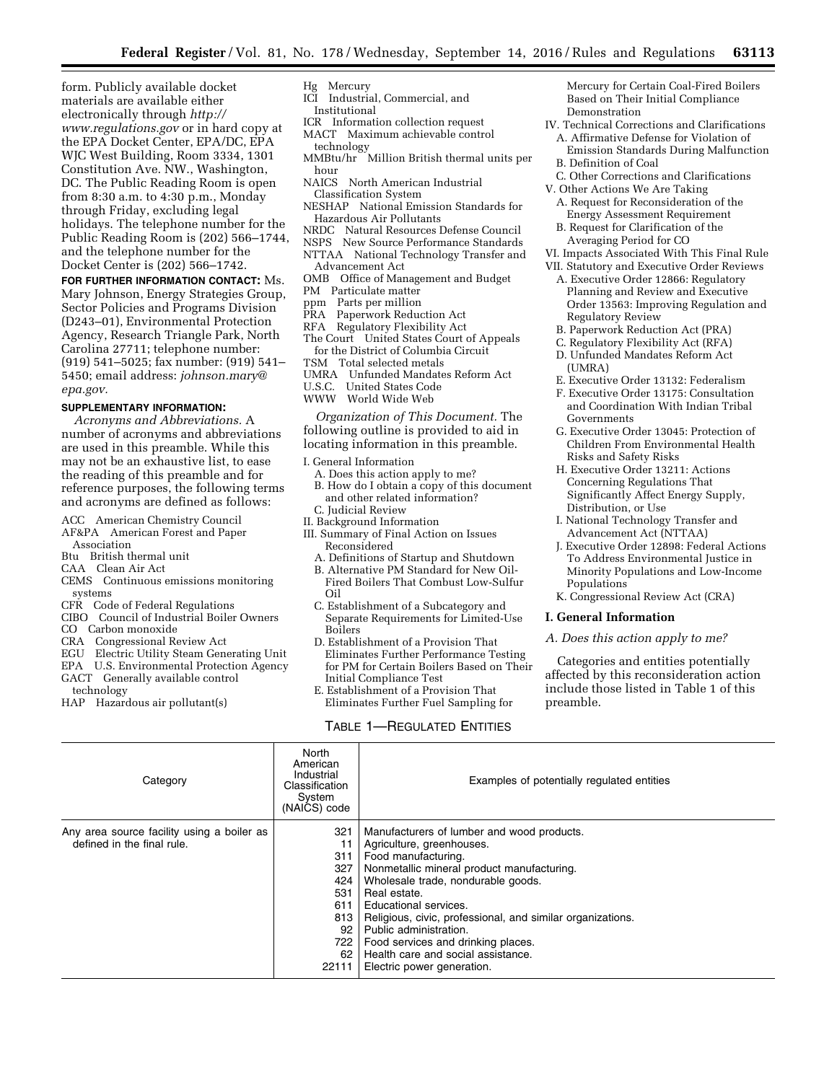form. Publicly available docket materials are available either electronically through *[http://](http://www.regulations.gov) [www.regulations.gov](http://www.regulations.gov)* or in hard copy at the EPA Docket Center, EPA/DC, EPA WJC West Building, Room 3334, 1301 Constitution Ave. NW., Washington, DC. The Public Reading Room is open from 8:30 a.m. to 4:30 p.m., Monday through Friday, excluding legal holidays. The telephone number for the Public Reading Room is (202) 566–1744, and the telephone number for the Docket Center is (202) 566–1742.

# **FOR FURTHER INFORMATION CONTACT:** Ms.

Mary Johnson, Energy Strategies Group, Sector Policies and Programs Division (D243–01), Environmental Protection Agency, Research Triangle Park, North Carolina 27711; telephone number: (919) 541–5025; fax number: (919) 541– 5450; email address: *[johnson.mary@](mailto:johnson.mary@epa.gov) [epa.gov.](mailto:johnson.mary@epa.gov)* 

### **SUPPLEMENTARY INFORMATION:**

*Acronyms and Abbreviations.* A number of acronyms and abbreviations are used in this preamble. While this may not be an exhaustive list, to ease the reading of this preamble and for reference purposes, the following terms and acronyms are defined as follows:

- ACC American Chemistry Council
- AF&PA American Forest and Paper Association
- Btu British thermal unit
- CAA Clean Air Act
- CEMS Continuous emissions monitoring systems
- CFR Code of Federal Regulations
- CIBO Council of Industrial Boiler Owners
- CO Carbon monoxide
- CRA Congressional Review Act
- EGU Electric Utility Steam Generating Unit
- EPA U.S. Environmental Protection Agency
- GACT Generally available control technology
- HAP Hazardous air pollutant(s)

## Hg Mercury

- ICI Industrial, Commercial, and Institutional
- ICR Information collection request
- MACT Maximum achievable control
- technology<br>MMBtu/hr l Million British thermal units per hour
- NAICS North American Industrial
- Classification System NESHAP National Emission Standards for
- Hazardous Air Pollutants Natural Resources Defense Council
- NSPS New Source Performance Standards
- NTTAA National Technology Transfer and Advancement Act
- OMB Office of Management and Budget
- PM Particulate matter
- ppm Parts per million
- Paperwork Reduction Act
- RFA Regulatory Flexibility Act
- The Court United States Court of Appeals for the District of Columbia Circuit
- TSM Total selected metals
- UMRA Unfunded Mandates Reform Act ILS.C. United States Code
- United States Code
- WWW World Wide Web

*Organization of This Document.* The following outline is provided to aid in locating information in this preamble.

- I. General Information
- A. Does this action apply to me? B. How do I obtain a copy of this document and other related information?
- C. Judicial Review
- II. Background Information
- III. Summary of Final Action on Issues Reconsidered
	- A. Definitions of Startup and Shutdown
	- B. Alternative PM Standard for New Oil-Fired Boilers That Combust Low-Sulfur Oil
	- C. Establishment of a Subcategory and Separate Requirements for Limited-Use Boilers
	- D. Establishment of a Provision That Eliminates Further Performance Testing for PM for Certain Boilers Based on Their Initial Compliance Test
	- E. Establishment of a Provision That Eliminates Further Fuel Sampling for

## TABLE 1—REGULATED ENTITIES

Mercury for Certain Coal-Fired Boilers Based on Their Initial Compliance Demonstration

- IV. Technical Corrections and Clarifications A. Affirmative Defense for Violation of
	- Emission Standards During Malfunction B. Definition of Coal
- C. Other Corrections and Clarifications
- V. Other Actions We Are Taking
	- A. Request for Reconsideration of the Energy Assessment Requirement
	- B. Request for Clarification of the Averaging Period for CO
- VI. Impacts Associated With This Final Rule
- VII. Statutory and Executive Order Reviews A. Executive Order 12866: Regulatory Planning and Review and Executive Order 13563: Improving Regulation and Regulatory Review
	- B. Paperwork Reduction Act (PRA)
	- C. Regulatory Flexibility Act (RFA)
- D. Unfunded Mandates Reform Act
- (UMRA)
- E. Executive Order 13132: Federalism
- F. Executive Order 13175: Consultation and Coordination With Indian Tribal Governments
- G. Executive Order 13045: Protection of Children From Environmental Health Risks and Safety Risks
- H. Executive Order 13211: Actions Concerning Regulations That Significantly Affect Energy Supply, Distribution, or Use
- I. National Technology Transfer and Advancement Act (NTTAA)
- J. Executive Order 12898: Federal Actions To Address Environmental Justice in Minority Populations and Low-Income Populations
- K. Congressional Review Act (CRA)

### **I. General Information**

*A. Does this action apply to me?* 

Categories and entities potentially affected by this reconsideration action include those listed in Table 1 of this preamble.

| Category                                                                 | North<br>American<br>Industrial<br>Classification<br>System<br>(NAICS) code       | Examples of potentially regulated entities                                                                                                                                                                                                                                                                                                                                                                                    |
|--------------------------------------------------------------------------|-----------------------------------------------------------------------------------|-------------------------------------------------------------------------------------------------------------------------------------------------------------------------------------------------------------------------------------------------------------------------------------------------------------------------------------------------------------------------------------------------------------------------------|
| Any area source facility using a boiler as<br>defined in the final rule. | 321<br>11<br>311<br>327<br>424<br>531<br>611<br>813<br>92<br>722  <br>62<br>22111 | Manufacturers of lumber and wood products.<br>Agriculture, greenhouses.<br>Food manufacturing.<br>Nonmetallic mineral product manufacturing.<br>Wholesale trade, nondurable goods.<br>Real estate.<br>Educational services.<br>Religious, civic, professional, and similar organizations.<br>Public administration.<br>Food services and drinking places.<br>Health care and social assistance.<br>Electric power generation. |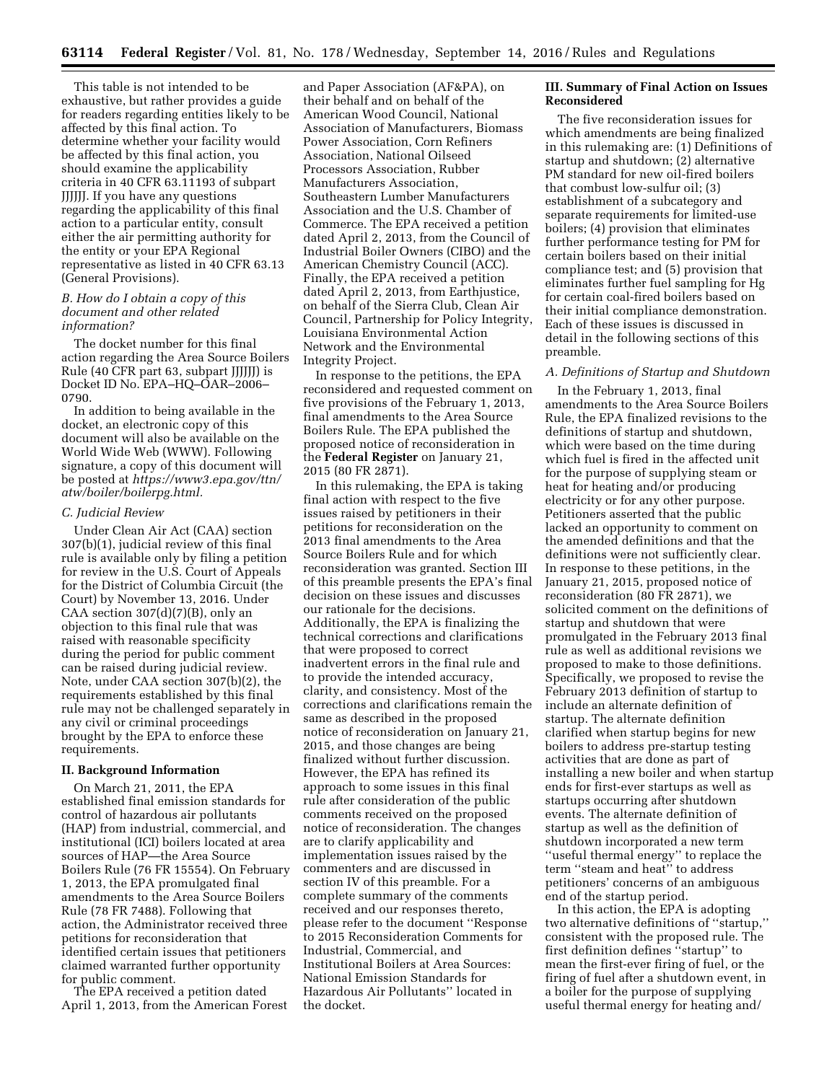This table is not intended to be exhaustive, but rather provides a guide for readers regarding entities likely to be affected by this final action. To determine whether your facility would be affected by this final action, you should examine the applicability criteria in 40 CFR 63.11193 of subpart JJJJJJ. If you have any questions regarding the applicability of this final action to a particular entity, consult either the air permitting authority for the entity or your EPA Regional representative as listed in 40 CFR 63.13 (General Provisions).

### *B. How do I obtain a copy of this document and other related information?*

The docket number for this final action regarding the Area Source Boilers Rule (40 CFR part 63, subpart JJJJJJ) is Docket ID No. EPA–HQ–OAR–2006– 0790.

In addition to being available in the docket, an electronic copy of this document will also be available on the World Wide Web (WWW). Following signature, a copy of this document will be posted at *[https://www3.epa.gov/ttn/](https://www3.epa.gov/ttn/atw/boiler/boilerpg.html)  [atw/boiler/boilerpg.html.](https://www3.epa.gov/ttn/atw/boiler/boilerpg.html)* 

### *C. Judicial Review*

Under Clean Air Act (CAA) section 307(b)(1), judicial review of this final rule is available only by filing a petition for review in the U.S. Court of Appeals for the District of Columbia Circuit (the Court) by November 13, 2016. Under CAA section  $307(d)(7)(B)$ , only an objection to this final rule that was raised with reasonable specificity during the period for public comment can be raised during judicial review. Note, under CAA section 307(b)(2), the requirements established by this final rule may not be challenged separately in any civil or criminal proceedings brought by the EPA to enforce these requirements.

#### **II. Background Information**

On March 21, 2011, the EPA established final emission standards for control of hazardous air pollutants (HAP) from industrial, commercial, and institutional (ICI) boilers located at area sources of HAP—the Area Source Boilers Rule (76 FR 15554). On February 1, 2013, the EPA promulgated final amendments to the Area Source Boilers Rule (78 FR 7488). Following that action, the Administrator received three petitions for reconsideration that identified certain issues that petitioners claimed warranted further opportunity for public comment.

The EPA received a petition dated April 1, 2013, from the American Forest

and Paper Association (AF&PA), on their behalf and on behalf of the American Wood Council, National Association of Manufacturers, Biomass Power Association, Corn Refiners Association, National Oilseed Processors Association, Rubber Manufacturers Association, Southeastern Lumber Manufacturers Association and the U.S. Chamber of Commerce. The EPA received a petition dated April 2, 2013, from the Council of Industrial Boiler Owners (CIBO) and the American Chemistry Council (ACC). Finally, the EPA received a petition dated April 2, 2013, from Earthjustice, on behalf of the Sierra Club, Clean Air Council, Partnership for Policy Integrity, Louisiana Environmental Action Network and the Environmental Integrity Project.

In response to the petitions, the EPA reconsidered and requested comment on five provisions of the February 1, 2013, final amendments to the Area Source Boilers Rule. The EPA published the proposed notice of reconsideration in the **Federal Register** on January 21, 2015 (80 FR 2871).

In this rulemaking, the EPA is taking final action with respect to the five issues raised by petitioners in their petitions for reconsideration on the 2013 final amendments to the Area Source Boilers Rule and for which reconsideration was granted. Section III of this preamble presents the EPA's final decision on these issues and discusses our rationale for the decisions. Additionally, the EPA is finalizing the technical corrections and clarifications that were proposed to correct inadvertent errors in the final rule and to provide the intended accuracy, clarity, and consistency. Most of the corrections and clarifications remain the same as described in the proposed notice of reconsideration on January 21, 2015, and those changes are being finalized without further discussion. However, the EPA has refined its approach to some issues in this final rule after consideration of the public comments received on the proposed notice of reconsideration. The changes are to clarify applicability and implementation issues raised by the commenters and are discussed in section IV of this preamble. For a complete summary of the comments received and our responses thereto, please refer to the document ''Response to 2015 Reconsideration Comments for Industrial, Commercial, and Institutional Boilers at Area Sources: National Emission Standards for Hazardous Air Pollutants'' located in the docket.

### **III. Summary of Final Action on Issues Reconsidered**

The five reconsideration issues for which amendments are being finalized in this rulemaking are: (1) Definitions of startup and shutdown; (2) alternative PM standard for new oil-fired boilers that combust low-sulfur oil; (3) establishment of a subcategory and separate requirements for limited-use boilers; (4) provision that eliminates further performance testing for PM for certain boilers based on their initial compliance test; and (5) provision that eliminates further fuel sampling for Hg for certain coal-fired boilers based on their initial compliance demonstration. Each of these issues is discussed in detail in the following sections of this preamble.

#### *A. Definitions of Startup and Shutdown*

In the February 1, 2013, final amendments to the Area Source Boilers Rule, the EPA finalized revisions to the definitions of startup and shutdown, which were based on the time during which fuel is fired in the affected unit for the purpose of supplying steam or heat for heating and/or producing electricity or for any other purpose. Petitioners asserted that the public lacked an opportunity to comment on the amended definitions and that the definitions were not sufficiently clear. In response to these petitions, in the January 21, 2015, proposed notice of reconsideration (80 FR 2871), we solicited comment on the definitions of startup and shutdown that were promulgated in the February 2013 final rule as well as additional revisions we proposed to make to those definitions. Specifically, we proposed to revise the February 2013 definition of startup to include an alternate definition of startup. The alternate definition clarified when startup begins for new boilers to address pre-startup testing activities that are done as part of installing a new boiler and when startup ends for first-ever startups as well as startups occurring after shutdown events. The alternate definition of startup as well as the definition of shutdown incorporated a new term ''useful thermal energy'' to replace the term ''steam and heat'' to address petitioners' concerns of an ambiguous end of the startup period.

In this action, the EPA is adopting two alternative definitions of ''startup,'' consistent with the proposed rule. The first definition defines ''startup'' to mean the first-ever firing of fuel, or the firing of fuel after a shutdown event, in a boiler for the purpose of supplying useful thermal energy for heating and/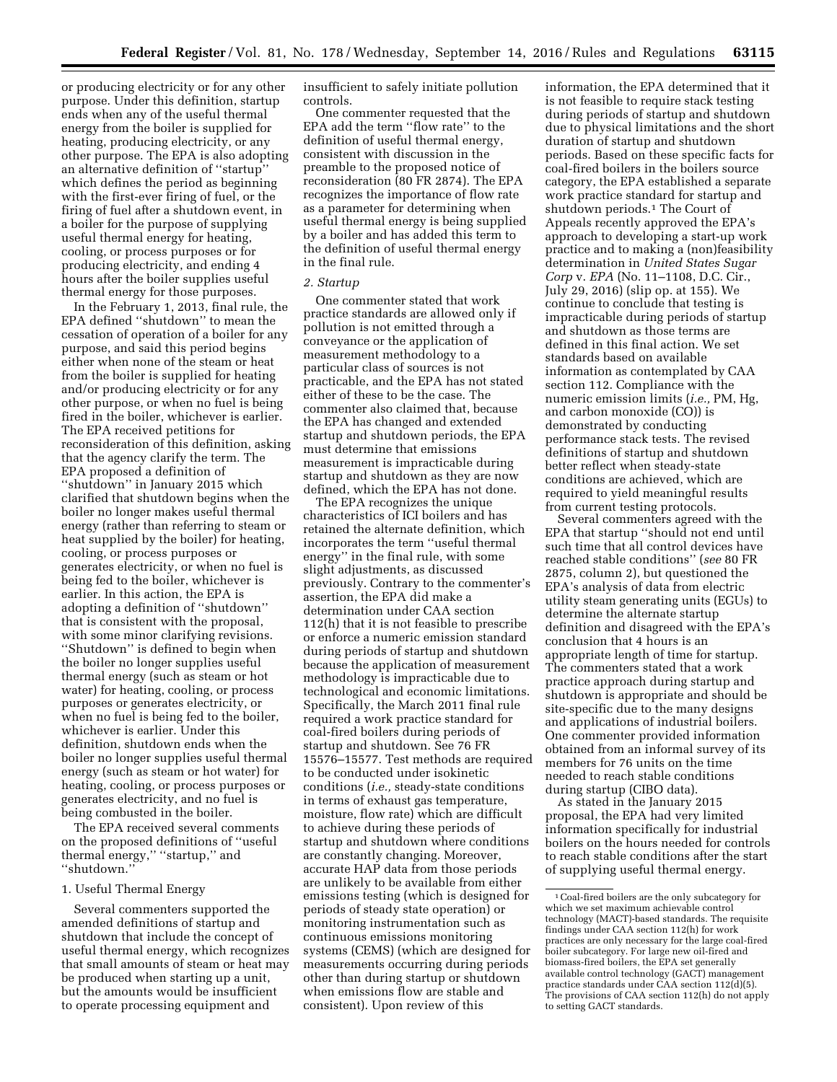or producing electricity or for any other purpose. Under this definition, startup ends when any of the useful thermal energy from the boiler is supplied for heating, producing electricity, or any other purpose. The EPA is also adopting an alternative definition of ''startup'' which defines the period as beginning with the first-ever firing of fuel, or the firing of fuel after a shutdown event, in a boiler for the purpose of supplying useful thermal energy for heating, cooling, or process purposes or for producing electricity, and ending 4 hours after the boiler supplies useful thermal energy for those purposes.

In the February 1, 2013, final rule, the EPA defined ''shutdown'' to mean the cessation of operation of a boiler for any purpose, and said this period begins either when none of the steam or heat from the boiler is supplied for heating and/or producing electricity or for any other purpose, or when no fuel is being fired in the boiler, whichever is earlier. The EPA received petitions for reconsideration of this definition, asking that the agency clarify the term. The EPA proposed a definition of ''shutdown'' in January 2015 which clarified that shutdown begins when the boiler no longer makes useful thermal energy (rather than referring to steam or heat supplied by the boiler) for heating, cooling, or process purposes or generates electricity, or when no fuel is being fed to the boiler, whichever is earlier. In this action, the EPA is adopting a definition of ''shutdown'' that is consistent with the proposal, with some minor clarifying revisions. ''Shutdown'' is defined to begin when the boiler no longer supplies useful thermal energy (such as steam or hot water) for heating, cooling, or process purposes or generates electricity, or when no fuel is being fed to the boiler, whichever is earlier. Under this definition, shutdown ends when the boiler no longer supplies useful thermal energy (such as steam or hot water) for heating, cooling, or process purposes or generates electricity, and no fuel is being combusted in the boiler.

The EPA received several comments on the proposed definitions of ''useful thermal energy,'' ''startup,'' and ''shutdown.''

#### 1. Useful Thermal Energy

Several commenters supported the amended definitions of startup and shutdown that include the concept of useful thermal energy, which recognizes that small amounts of steam or heat may be produced when starting up a unit, but the amounts would be insufficient to operate processing equipment and

insufficient to safely initiate pollution controls.

One commenter requested that the EPA add the term ''flow rate'' to the definition of useful thermal energy, consistent with discussion in the preamble to the proposed notice of reconsideration (80 FR 2874). The EPA recognizes the importance of flow rate as a parameter for determining when useful thermal energy is being supplied by a boiler and has added this term to the definition of useful thermal energy in the final rule.

#### *2. Startup*

One commenter stated that work practice standards are allowed only if pollution is not emitted through a conveyance or the application of measurement methodology to a particular class of sources is not practicable, and the EPA has not stated either of these to be the case. The commenter also claimed that, because the EPA has changed and extended startup and shutdown periods, the EPA must determine that emissions measurement is impracticable during startup and shutdown as they are now defined, which the EPA has not done.

The EPA recognizes the unique characteristics of ICI boilers and has retained the alternate definition, which incorporates the term ''useful thermal energy'' in the final rule, with some slight adjustments, as discussed previously. Contrary to the commenter's assertion, the EPA did make a determination under CAA section 112(h) that it is not feasible to prescribe or enforce a numeric emission standard during periods of startup and shutdown because the application of measurement methodology is impracticable due to technological and economic limitations. Specifically, the March 2011 final rule required a work practice standard for coal-fired boilers during periods of startup and shutdown. See 76 FR 15576–15577. Test methods are required to be conducted under isokinetic conditions (*i.e.,* steady-state conditions in terms of exhaust gas temperature, moisture, flow rate) which are difficult to achieve during these periods of startup and shutdown where conditions are constantly changing. Moreover, accurate HAP data from those periods are unlikely to be available from either emissions testing (which is designed for periods of steady state operation) or monitoring instrumentation such as continuous emissions monitoring systems (CEMS) (which are designed for measurements occurring during periods other than during startup or shutdown when emissions flow are stable and consistent). Upon review of this

information, the EPA determined that it is not feasible to require stack testing during periods of startup and shutdown due to physical limitations and the short duration of startup and shutdown periods. Based on these specific facts for coal-fired boilers in the boilers source category, the EPA established a separate work practice standard for startup and shutdown periods.<sup>1</sup> The Court of Appeals recently approved the EPA's approach to developing a start-up work practice and to making a (non)feasibility determination in *United States Sugar Corp* v. *EPA* (No. 11–1108, D.C. Cir., July 29, 2016) (slip op. at 155). We continue to conclude that testing is impracticable during periods of startup and shutdown as those terms are defined in this final action. We set standards based on available information as contemplated by CAA section 112. Compliance with the numeric emission limits (*i.e.,* PM, Hg, and carbon monoxide (CO)) is demonstrated by conducting performance stack tests. The revised definitions of startup and shutdown better reflect when steady-state conditions are achieved, which are required to yield meaningful results from current testing protocols.

Several commenters agreed with the EPA that startup ''should not end until such time that all control devices have reached stable conditions'' (*see* 80 FR 2875, column 2), but questioned the EPA's analysis of data from electric utility steam generating units (EGUs) to determine the alternate startup definition and disagreed with the EPA's conclusion that 4 hours is an appropriate length of time for startup. The commenters stated that a work practice approach during startup and shutdown is appropriate and should be site-specific due to the many designs and applications of industrial boilers. One commenter provided information obtained from an informal survey of its members for 76 units on the time needed to reach stable conditions during startup (CIBO data).

As stated in the January 2015 proposal, the EPA had very limited information specifically for industrial boilers on the hours needed for controls to reach stable conditions after the start of supplying useful thermal energy.

<sup>1</sup>Coal-fired boilers are the only subcategory for which we set maximum achievable control technology (MACT)-based standards. The requisite findings under CAA section 112(h) for work practices are only necessary for the large coal-fired boiler subcategory. For large new oil-fired and biomass-fired boilers, the EPA set generally available control technology (GACT) management practice standards under CAA section 112(d)(5). The provisions of CAA section 112(h) do not apply to setting GACT standards.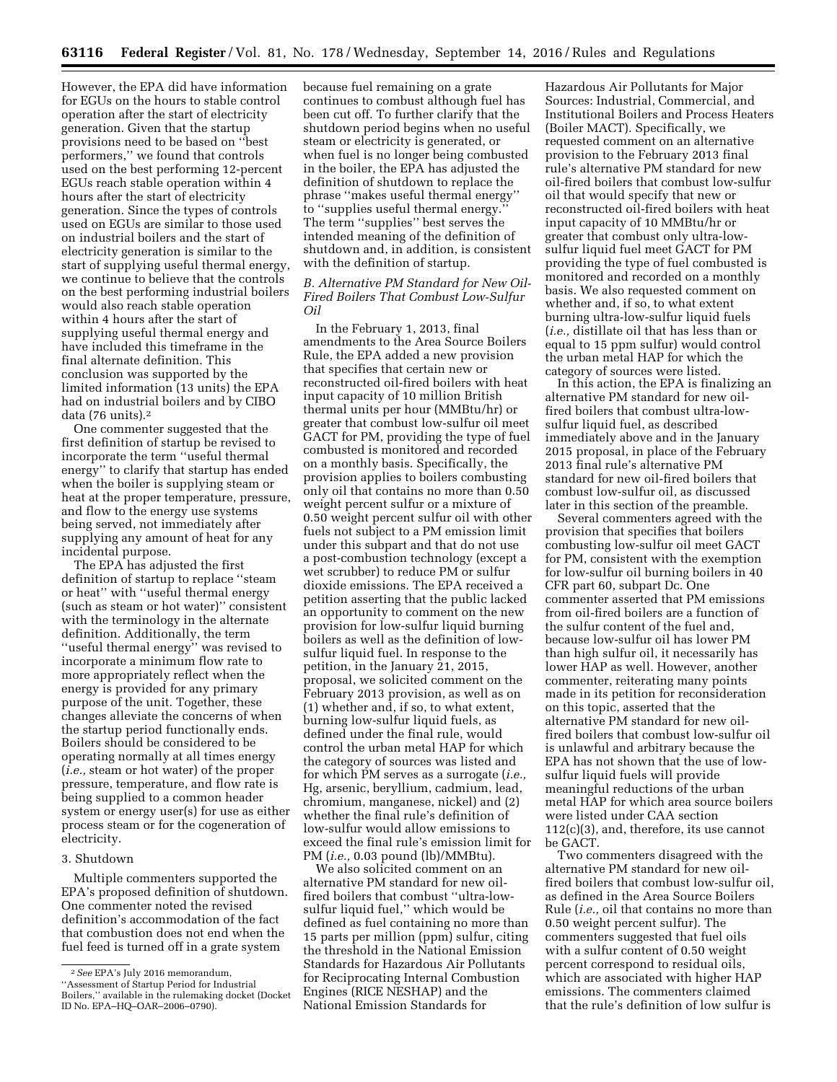However, the EPA did have information for EGUs on the hours to stable control operation after the start of electricity generation. Given that the startup provisions need to be based on ''best performers,'' we found that controls used on the best performing 12-percent EGUs reach stable operation within 4 hours after the start of electricity generation. Since the types of controls used on EGUs are similar to those used on industrial boilers and the start of electricity generation is similar to the start of supplying useful thermal energy, we continue to believe that the controls on the best performing industrial boilers would also reach stable operation within 4 hours after the start of supplying useful thermal energy and have included this timeframe in the final alternate definition. This conclusion was supported by the limited information (13 units) the EPA had on industrial boilers and by CIBO data (76 units).2

One commenter suggested that the first definition of startup be revised to incorporate the term ''useful thermal energy'' to clarify that startup has ended when the boiler is supplying steam or heat at the proper temperature, pressure, and flow to the energy use systems being served, not immediately after supplying any amount of heat for any incidental purpose.

The EPA has adjusted the first definition of startup to replace ''steam or heat'' with ''useful thermal energy (such as steam or hot water)'' consistent with the terminology in the alternate definition. Additionally, the term ''useful thermal energy'' was revised to incorporate a minimum flow rate to more appropriately reflect when the energy is provided for any primary purpose of the unit. Together, these changes alleviate the concerns of when the startup period functionally ends. Boilers should be considered to be operating normally at all times energy (*i.e.,* steam or hot water) of the proper pressure, temperature, and flow rate is being supplied to a common header system or energy user(s) for use as either process steam or for the cogeneration of electricity.

#### 3. Shutdown

Multiple commenters supported the EPA's proposed definition of shutdown. One commenter noted the revised definition's accommodation of the fact that combustion does not end when the fuel feed is turned off in a grate system

because fuel remaining on a grate continues to combust although fuel has been cut off. To further clarify that the shutdown period begins when no useful steam or electricity is generated, or when fuel is no longer being combusted in the boiler, the EPA has adjusted the definition of shutdown to replace the phrase ''makes useful thermal energy'' to ''supplies useful thermal energy.'' The term ''supplies'' best serves the intended meaning of the definition of shutdown and, in addition, is consistent with the definition of startup.

### *B. Alternative PM Standard for New Oil-Fired Boilers That Combust Low-Sulfur Oil*

In the February 1, 2013, final amendments to the Area Source Boilers Rule, the EPA added a new provision that specifies that certain new or reconstructed oil-fired boilers with heat input capacity of 10 million British thermal units per hour (MMBtu/hr) or greater that combust low-sulfur oil meet GACT for PM, providing the type of fuel combusted is monitored and recorded on a monthly basis. Specifically, the provision applies to boilers combusting only oil that contains no more than 0.50 weight percent sulfur or a mixture of 0.50 weight percent sulfur oil with other fuels not subject to a PM emission limit under this subpart and that do not use a post-combustion technology (except a wet scrubber) to reduce PM or sulfur dioxide emissions. The EPA received a petition asserting that the public lacked an opportunity to comment on the new provision for low-sulfur liquid burning boilers as well as the definition of lowsulfur liquid fuel. In response to the petition, in the January 21, 2015, proposal, we solicited comment on the February 2013 provision, as well as on (1) whether and, if so, to what extent, burning low-sulfur liquid fuels, as defined under the final rule, would control the urban metal HAP for which the category of sources was listed and for which PM serves as a surrogate (*i.e.,*  Hg, arsenic, beryllium, cadmium, lead, chromium, manganese, nickel) and (2) whether the final rule's definition of low-sulfur would allow emissions to exceed the final rule's emission limit for PM (*i.e.,* 0.03 pound (lb)/MMBtu).

We also solicited comment on an alternative PM standard for new oilfired boilers that combust ''ultra-lowsulfur liquid fuel,'' which would be defined as fuel containing no more than 15 parts per million (ppm) sulfur, citing the threshold in the National Emission Standards for Hazardous Air Pollutants for Reciprocating Internal Combustion Engines (RICE NESHAP) and the National Emission Standards for

Hazardous Air Pollutants for Major Sources: Industrial, Commercial, and Institutional Boilers and Process Heaters (Boiler MACT). Specifically, we requested comment on an alternative provision to the February 2013 final rule's alternative PM standard for new oil-fired boilers that combust low-sulfur oil that would specify that new or reconstructed oil-fired boilers with heat input capacity of 10 MMBtu/hr or greater that combust only ultra-lowsulfur liquid fuel meet GACT for PM providing the type of fuel combusted is monitored and recorded on a monthly basis. We also requested comment on whether and, if so, to what extent burning ultra-low-sulfur liquid fuels (*i.e.,* distillate oil that has less than or equal to 15 ppm sulfur) would control the urban metal HAP for which the category of sources were listed.

In this action, the EPA is finalizing an alternative PM standard for new oilfired boilers that combust ultra-lowsulfur liquid fuel, as described immediately above and in the January 2015 proposal, in place of the February 2013 final rule's alternative PM standard for new oil-fired boilers that combust low-sulfur oil, as discussed later in this section of the preamble.

Several commenters agreed with the provision that specifies that boilers combusting low-sulfur oil meet GACT for PM, consistent with the exemption for low-sulfur oil burning boilers in 40 CFR part 60, subpart Dc. One commenter asserted that PM emissions from oil-fired boilers are a function of the sulfur content of the fuel and, because low-sulfur oil has lower PM than high sulfur oil, it necessarily has lower HAP as well. However, another commenter, reiterating many points made in its petition for reconsideration on this topic, asserted that the alternative PM standard for new oilfired boilers that combust low-sulfur oil is unlawful and arbitrary because the EPA has not shown that the use of lowsulfur liquid fuels will provide meaningful reductions of the urban metal HAP for which area source boilers were listed under CAA section 112(c)(3), and, therefore, its use cannot be GACT.

Two commenters disagreed with the alternative PM standard for new oilfired boilers that combust low-sulfur oil, as defined in the Area Source Boilers Rule (*i.e.,* oil that contains no more than 0.50 weight percent sulfur). The commenters suggested that fuel oils with a sulfur content of 0.50 weight percent correspond to residual oils, which are associated with higher HAP emissions. The commenters claimed that the rule's definition of low sulfur is

<sup>2</sup>*See* EPA's July 2016 memorandum, ''Assessment of Startup Period for Industrial Boilers,'' available in the rulemaking docket (Docket ID No. EPA–HQ–OAR–2006–0790).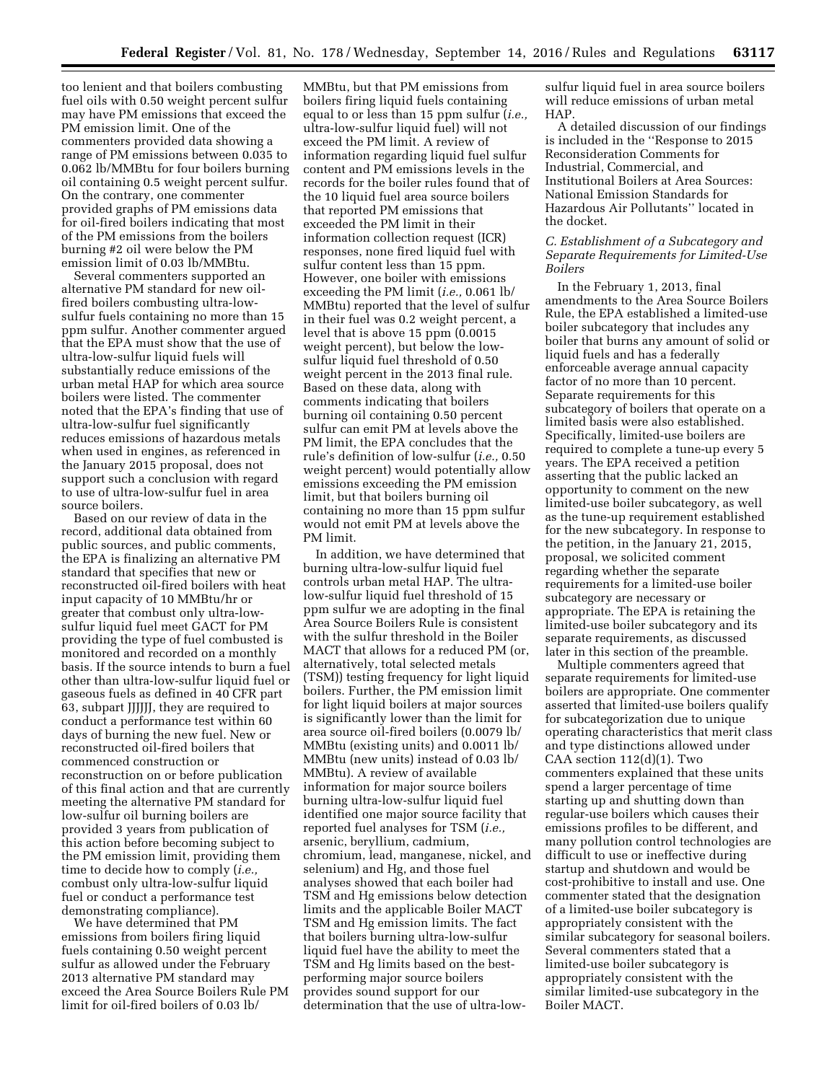too lenient and that boilers combusting fuel oils with 0.50 weight percent sulfur may have PM emissions that exceed the PM emission limit. One of the commenters provided data showing a range of PM emissions between 0.035 to 0.062 lb/MMBtu for four boilers burning oil containing 0.5 weight percent sulfur. On the contrary, one commenter provided graphs of PM emissions data for oil-fired boilers indicating that most of the PM emissions from the boilers burning #2 oil were below the PM emission limit of 0.03 lb/MMBtu.

Several commenters supported an alternative PM standard for new oilfired boilers combusting ultra-lowsulfur fuels containing no more than 15 ppm sulfur. Another commenter argued that the EPA must show that the use of ultra-low-sulfur liquid fuels will substantially reduce emissions of the urban metal HAP for which area source boilers were listed. The commenter noted that the EPA's finding that use of ultra-low-sulfur fuel significantly reduces emissions of hazardous metals when used in engines, as referenced in the January 2015 proposal, does not support such a conclusion with regard to use of ultra-low-sulfur fuel in area source boilers.

Based on our review of data in the record, additional data obtained from public sources, and public comments, the EPA is finalizing an alternative PM standard that specifies that new or reconstructed oil-fired boilers with heat input capacity of 10 MMBtu/hr or greater that combust only ultra-lowsulfur liquid fuel meet GACT for PM providing the type of fuel combusted is monitored and recorded on a monthly basis. If the source intends to burn a fuel other than ultra-low-sulfur liquid fuel or gaseous fuels as defined in 40 CFR part 63, subpart JJJJJJ, they are required to conduct a performance test within 60 days of burning the new fuel. New or reconstructed oil-fired boilers that commenced construction or reconstruction on or before publication of this final action and that are currently meeting the alternative PM standard for low-sulfur oil burning boilers are provided 3 years from publication of this action before becoming subject to the PM emission limit, providing them time to decide how to comply (*i.e.,*  combust only ultra-low-sulfur liquid fuel or conduct a performance test demonstrating compliance).

We have determined that PM emissions from boilers firing liquid fuels containing 0.50 weight percent sulfur as allowed under the February 2013 alternative PM standard may exceed the Area Source Boilers Rule PM limit for oil-fired boilers of 0.03 lb/

MMBtu, but that PM emissions from boilers firing liquid fuels containing equal to or less than 15 ppm sulfur (*i.e.,*  ultra-low-sulfur liquid fuel) will not exceed the PM limit. A review of information regarding liquid fuel sulfur content and PM emissions levels in the records for the boiler rules found that of the 10 liquid fuel area source boilers that reported PM emissions that exceeded the PM limit in their information collection request (ICR) responses, none fired liquid fuel with sulfur content less than 15 ppm. However, one boiler with emissions exceeding the PM limit (*i.e.,* 0.061 lb/ MMBtu) reported that the level of sulfur in their fuel was 0.2 weight percent, a level that is above 15 ppm (0.0015 weight percent), but below the lowsulfur liquid fuel threshold of 0.50 weight percent in the 2013 final rule. Based on these data, along with comments indicating that boilers burning oil containing 0.50 percent sulfur can emit PM at levels above the PM limit, the EPA concludes that the rule's definition of low-sulfur (*i.e.,* 0.50 weight percent) would potentially allow emissions exceeding the PM emission limit, but that boilers burning oil containing no more than 15 ppm sulfur would not emit PM at levels above the PM limit.

In addition, we have determined that burning ultra-low-sulfur liquid fuel controls urban metal HAP. The ultralow-sulfur liquid fuel threshold of 15 ppm sulfur we are adopting in the final Area Source Boilers Rule is consistent with the sulfur threshold in the Boiler MACT that allows for a reduced PM (or, alternatively, total selected metals (TSM)) testing frequency for light liquid boilers. Further, the PM emission limit for light liquid boilers at major sources is significantly lower than the limit for area source oil-fired boilers (0.0079 lb/ MMBtu (existing units) and 0.0011 lb/ MMBtu (new units) instead of 0.03 lb/ MMBtu). A review of available information for major source boilers burning ultra-low-sulfur liquid fuel identified one major source facility that reported fuel analyses for TSM (*i.e.,*  arsenic, beryllium, cadmium, chromium, lead, manganese, nickel, and selenium) and Hg, and those fuel analyses showed that each boiler had TSM and Hg emissions below detection limits and the applicable Boiler MACT TSM and Hg emission limits. The fact that boilers burning ultra-low-sulfur liquid fuel have the ability to meet the TSM and Hg limits based on the bestperforming major source boilers provides sound support for our determination that the use of ultra-lowsulfur liquid fuel in area source boilers will reduce emissions of urban metal HAP.

A detailed discussion of our findings is included in the ''Response to 2015 Reconsideration Comments for Industrial, Commercial, and Institutional Boilers at Area Sources: National Emission Standards for Hazardous Air Pollutants'' located in the docket.

### *C. Establishment of a Subcategory and Separate Requirements for Limited-Use Boilers*

In the February 1, 2013, final amendments to the Area Source Boilers Rule, the EPA established a limited-use boiler subcategory that includes any boiler that burns any amount of solid or liquid fuels and has a federally enforceable average annual capacity factor of no more than 10 percent. Separate requirements for this subcategory of boilers that operate on a limited basis were also established. Specifically, limited-use boilers are required to complete a tune-up every 5 years. The EPA received a petition asserting that the public lacked an opportunity to comment on the new limited-use boiler subcategory, as well as the tune-up requirement established for the new subcategory. In response to the petition, in the January 21, 2015, proposal, we solicited comment regarding whether the separate requirements for a limited-use boiler subcategory are necessary or appropriate. The EPA is retaining the limited-use boiler subcategory and its separate requirements, as discussed later in this section of the preamble.

Multiple commenters agreed that separate requirements for limited-use boilers are appropriate. One commenter asserted that limited-use boilers qualify for subcategorization due to unique operating characteristics that merit class and type distinctions allowed under CAA section 112(d)(1). Two commenters explained that these units spend a larger percentage of time starting up and shutting down than regular-use boilers which causes their emissions profiles to be different, and many pollution control technologies are difficult to use or ineffective during startup and shutdown and would be cost-prohibitive to install and use. One commenter stated that the designation of a limited-use boiler subcategory is appropriately consistent with the similar subcategory for seasonal boilers. Several commenters stated that a limited-use boiler subcategory is appropriately consistent with the similar limited-use subcategory in the Boiler MACT.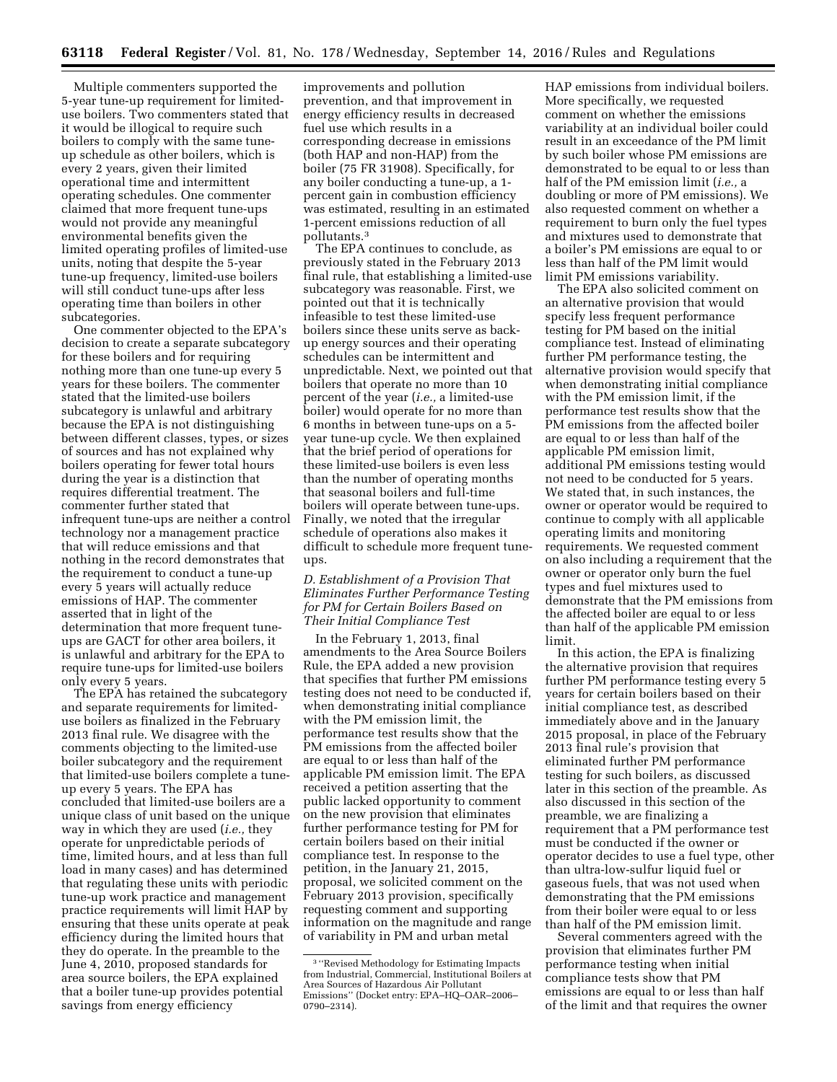Multiple commenters supported the 5-year tune-up requirement for limiteduse boilers. Two commenters stated that it would be illogical to require such boilers to comply with the same tuneup schedule as other boilers, which is every 2 years, given their limited operational time and intermittent operating schedules. One commenter claimed that more frequent tune-ups would not provide any meaningful environmental benefits given the limited operating profiles of limited-use units, noting that despite the 5-year tune-up frequency, limited-use boilers will still conduct tune-ups after less operating time than boilers in other subcategories.

One commenter objected to the EPA's decision to create a separate subcategory for these boilers and for requiring nothing more than one tune-up every 5 years for these boilers. The commenter stated that the limited-use boilers subcategory is unlawful and arbitrary because the EPA is not distinguishing between different classes, types, or sizes of sources and has not explained why boilers operating for fewer total hours during the year is a distinction that requires differential treatment. The commenter further stated that infrequent tune-ups are neither a control technology nor a management practice that will reduce emissions and that nothing in the record demonstrates that the requirement to conduct a tune-up every 5 years will actually reduce emissions of HAP. The commenter asserted that in light of the determination that more frequent tuneups are GACT for other area boilers, it is unlawful and arbitrary for the EPA to require tune-ups for limited-use boilers only every 5 years.

The EPA has retained the subcategory and separate requirements for limiteduse boilers as finalized in the February 2013 final rule. We disagree with the comments objecting to the limited-use boiler subcategory and the requirement that limited-use boilers complete a tuneup every 5 years. The EPA has concluded that limited-use boilers are a unique class of unit based on the unique way in which they are used (*i.e.,* they operate for unpredictable periods of time, limited hours, and at less than full load in many cases) and has determined that regulating these units with periodic tune-up work practice and management practice requirements will limit HAP by ensuring that these units operate at peak efficiency during the limited hours that they do operate. In the preamble to the June 4, 2010, proposed standards for area source boilers, the EPA explained that a boiler tune-up provides potential savings from energy efficiency

improvements and pollution prevention, and that improvement in energy efficiency results in decreased fuel use which results in a corresponding decrease in emissions (both HAP and non-HAP) from the boiler (75 FR 31908). Specifically, for any boiler conducting a tune-up, a 1 percent gain in combustion efficiency was estimated, resulting in an estimated 1-percent emissions reduction of all pollutants.3

The EPA continues to conclude, as previously stated in the February 2013 final rule, that establishing a limited-use subcategory was reasonable. First, we pointed out that it is technically infeasible to test these limited-use boilers since these units serve as backup energy sources and their operating schedules can be intermittent and unpredictable. Next, we pointed out that boilers that operate no more than 10 percent of the year (*i.e.,* a limited-use boiler) would operate for no more than 6 months in between tune-ups on a 5 year tune-up cycle. We then explained that the brief period of operations for these limited-use boilers is even less than the number of operating months that seasonal boilers and full-time boilers will operate between tune-ups. Finally, we noted that the irregular schedule of operations also makes it difficult to schedule more frequent tuneups.

### *D. Establishment of a Provision That Eliminates Further Performance Testing for PM for Certain Boilers Based on Their Initial Compliance Test*

In the February 1, 2013, final amendments to the Area Source Boilers Rule, the EPA added a new provision that specifies that further PM emissions testing does not need to be conducted if, when demonstrating initial compliance with the PM emission limit, the performance test results show that the PM emissions from the affected boiler are equal to or less than half of the applicable PM emission limit. The EPA received a petition asserting that the public lacked opportunity to comment on the new provision that eliminates further performance testing for PM for certain boilers based on their initial compliance test. In response to the petition, in the January 21, 2015, proposal, we solicited comment on the February 2013 provision, specifically requesting comment and supporting information on the magnitude and range of variability in PM and urban metal

HAP emissions from individual boilers. More specifically, we requested comment on whether the emissions variability at an individual boiler could result in an exceedance of the PM limit by such boiler whose PM emissions are demonstrated to be equal to or less than half of the PM emission limit (*i.e.,* a doubling or more of PM emissions). We also requested comment on whether a requirement to burn only the fuel types and mixtures used to demonstrate that a boiler's PM emissions are equal to or less than half of the PM limit would limit PM emissions variability.

The EPA also solicited comment on an alternative provision that would specify less frequent performance testing for PM based on the initial compliance test. Instead of eliminating further PM performance testing, the alternative provision would specify that when demonstrating initial compliance with the PM emission limit, if the performance test results show that the PM emissions from the affected boiler are equal to or less than half of the applicable PM emission limit, additional PM emissions testing would not need to be conducted for 5 years. We stated that, in such instances, the owner or operator would be required to continue to comply with all applicable operating limits and monitoring requirements. We requested comment on also including a requirement that the owner or operator only burn the fuel types and fuel mixtures used to demonstrate that the PM emissions from the affected boiler are equal to or less than half of the applicable PM emission limit.

In this action, the EPA is finalizing the alternative provision that requires further PM performance testing every 5 years for certain boilers based on their initial compliance test, as described immediately above and in the January 2015 proposal, in place of the February 2013 final rule's provision that eliminated further PM performance testing for such boilers, as discussed later in this section of the preamble. As also discussed in this section of the preamble, we are finalizing a requirement that a PM performance test must be conducted if the owner or operator decides to use a fuel type, other than ultra-low-sulfur liquid fuel or gaseous fuels, that was not used when demonstrating that the PM emissions from their boiler were equal to or less than half of the PM emission limit.

Several commenters agreed with the provision that eliminates further PM performance testing when initial compliance tests show that PM emissions are equal to or less than half of the limit and that requires the owner

<sup>3</sup> ''Revised Methodology for Estimating Impacts from Industrial, Commercial, Institutional Boilers at Area Sources of Hazardous Air Pollutant Emissions'' (Docket entry: EPA–HQ–OAR–2006– 0790–2314).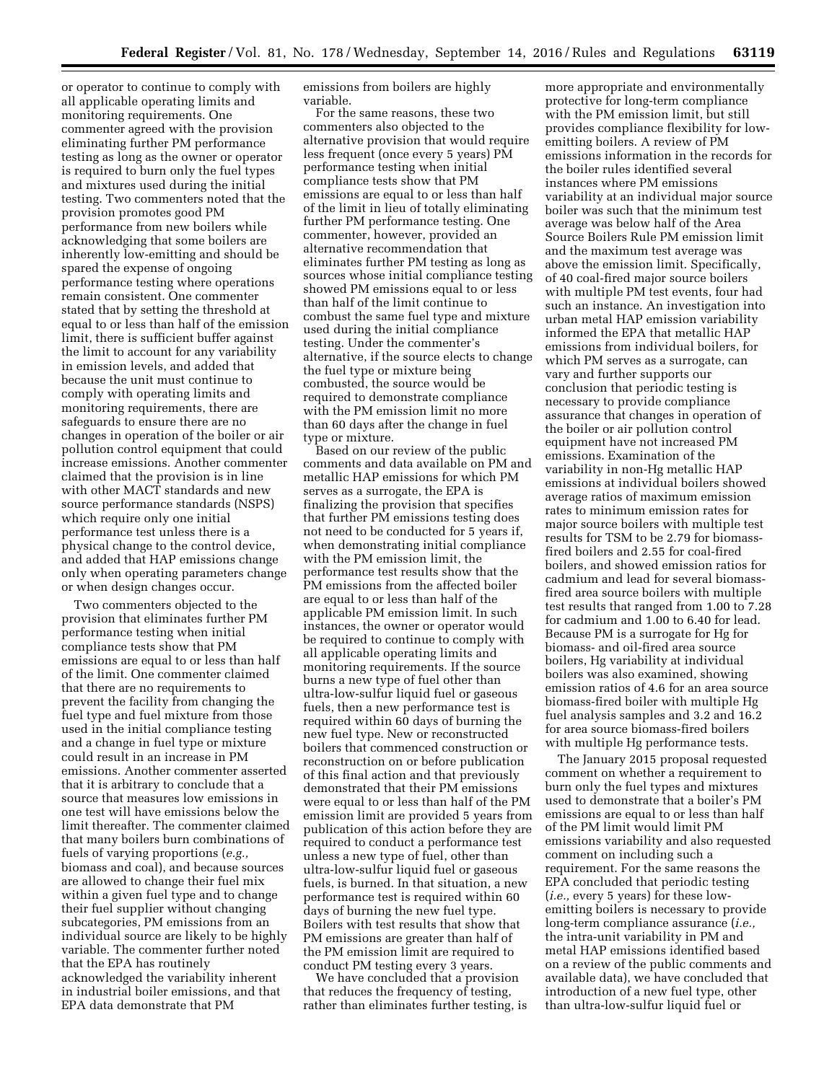or operator to continue to comply with all applicable operating limits and monitoring requirements. One commenter agreed with the provision eliminating further PM performance testing as long as the owner or operator is required to burn only the fuel types and mixtures used during the initial testing. Two commenters noted that the provision promotes good PM performance from new boilers while acknowledging that some boilers are inherently low-emitting and should be spared the expense of ongoing performance testing where operations remain consistent. One commenter stated that by setting the threshold at equal to or less than half of the emission limit, there is sufficient buffer against the limit to account for any variability in emission levels, and added that because the unit must continue to comply with operating limits and monitoring requirements, there are safeguards to ensure there are no changes in operation of the boiler or air pollution control equipment that could increase emissions. Another commenter claimed that the provision is in line with other MACT standards and new source performance standards (NSPS) which require only one initial performance test unless there is a physical change to the control device, and added that HAP emissions change only when operating parameters change or when design changes occur.

Two commenters objected to the provision that eliminates further PM performance testing when initial compliance tests show that PM emissions are equal to or less than half of the limit. One commenter claimed that there are no requirements to prevent the facility from changing the fuel type and fuel mixture from those used in the initial compliance testing and a change in fuel type or mixture could result in an increase in PM emissions. Another commenter asserted that it is arbitrary to conclude that a source that measures low emissions in one test will have emissions below the limit thereafter. The commenter claimed that many boilers burn combinations of fuels of varying proportions (*e.g.,*  biomass and coal), and because sources are allowed to change their fuel mix within a given fuel type and to change their fuel supplier without changing subcategories, PM emissions from an individual source are likely to be highly variable. The commenter further noted that the EPA has routinely acknowledged the variability inherent in industrial boiler emissions, and that EPA data demonstrate that PM

emissions from boilers are highly variable.

For the same reasons, these two commenters also objected to the alternative provision that would require less frequent (once every 5 years) PM performance testing when initial compliance tests show that PM emissions are equal to or less than half of the limit in lieu of totally eliminating further PM performance testing. One commenter, however, provided an alternative recommendation that eliminates further PM testing as long as sources whose initial compliance testing showed PM emissions equal to or less than half of the limit continue to combust the same fuel type and mixture used during the initial compliance testing. Under the commenter's alternative, if the source elects to change the fuel type or mixture being combusted, the source would be required to demonstrate compliance with the PM emission limit no more than 60 days after the change in fuel type or mixture.

Based on our review of the public comments and data available on PM and metallic HAP emissions for which PM serves as a surrogate, the EPA is finalizing the provision that specifies that further PM emissions testing does not need to be conducted for 5 years if, when demonstrating initial compliance with the PM emission limit, the performance test results show that the PM emissions from the affected boiler are equal to or less than half of the applicable PM emission limit. In such instances, the owner or operator would be required to continue to comply with all applicable operating limits and monitoring requirements. If the source burns a new type of fuel other than ultra-low-sulfur liquid fuel or gaseous fuels, then a new performance test is required within 60 days of burning the new fuel type. New or reconstructed boilers that commenced construction or reconstruction on or before publication of this final action and that previously demonstrated that their PM emissions were equal to or less than half of the PM emission limit are provided 5 years from publication of this action before they are required to conduct a performance test unless a new type of fuel, other than ultra-low-sulfur liquid fuel or gaseous fuels, is burned. In that situation, a new performance test is required within 60 days of burning the new fuel type. Boilers with test results that show that PM emissions are greater than half of the PM emission limit are required to conduct PM testing every 3 years.

We have concluded that a provision that reduces the frequency of testing, rather than eliminates further testing, is

more appropriate and environmentally protective for long-term compliance with the PM emission limit, but still provides compliance flexibility for lowemitting boilers. A review of PM emissions information in the records for the boiler rules identified several instances where PM emissions variability at an individual major source boiler was such that the minimum test average was below half of the Area Source Boilers Rule PM emission limit and the maximum test average was above the emission limit. Specifically, of 40 coal-fired major source boilers with multiple PM test events, four had such an instance. An investigation into urban metal HAP emission variability informed the EPA that metallic HAP emissions from individual boilers, for which PM serves as a surrogate, can vary and further supports our conclusion that periodic testing is necessary to provide compliance assurance that changes in operation of the boiler or air pollution control equipment have not increased PM emissions. Examination of the variability in non-Hg metallic HAP emissions at individual boilers showed average ratios of maximum emission rates to minimum emission rates for major source boilers with multiple test results for TSM to be 2.79 for biomassfired boilers and 2.55 for coal-fired boilers, and showed emission ratios for cadmium and lead for several biomassfired area source boilers with multiple test results that ranged from 1.00 to 7.28 for cadmium and 1.00 to 6.40 for lead. Because PM is a surrogate for Hg for biomass- and oil-fired area source boilers, Hg variability at individual boilers was also examined, showing emission ratios of 4.6 for an area source biomass-fired boiler with multiple Hg fuel analysis samples and 3.2 and 16.2 for area source biomass-fired boilers with multiple Hg performance tests.

The January 2015 proposal requested comment on whether a requirement to burn only the fuel types and mixtures used to demonstrate that a boiler's PM emissions are equal to or less than half of the PM limit would limit PM emissions variability and also requested comment on including such a requirement. For the same reasons the EPA concluded that periodic testing (*i.e.,* every 5 years) for these lowemitting boilers is necessary to provide long-term compliance assurance (*i.e.,*  the intra-unit variability in PM and metal HAP emissions identified based on a review of the public comments and available data), we have concluded that introduction of a new fuel type, other than ultra-low-sulfur liquid fuel or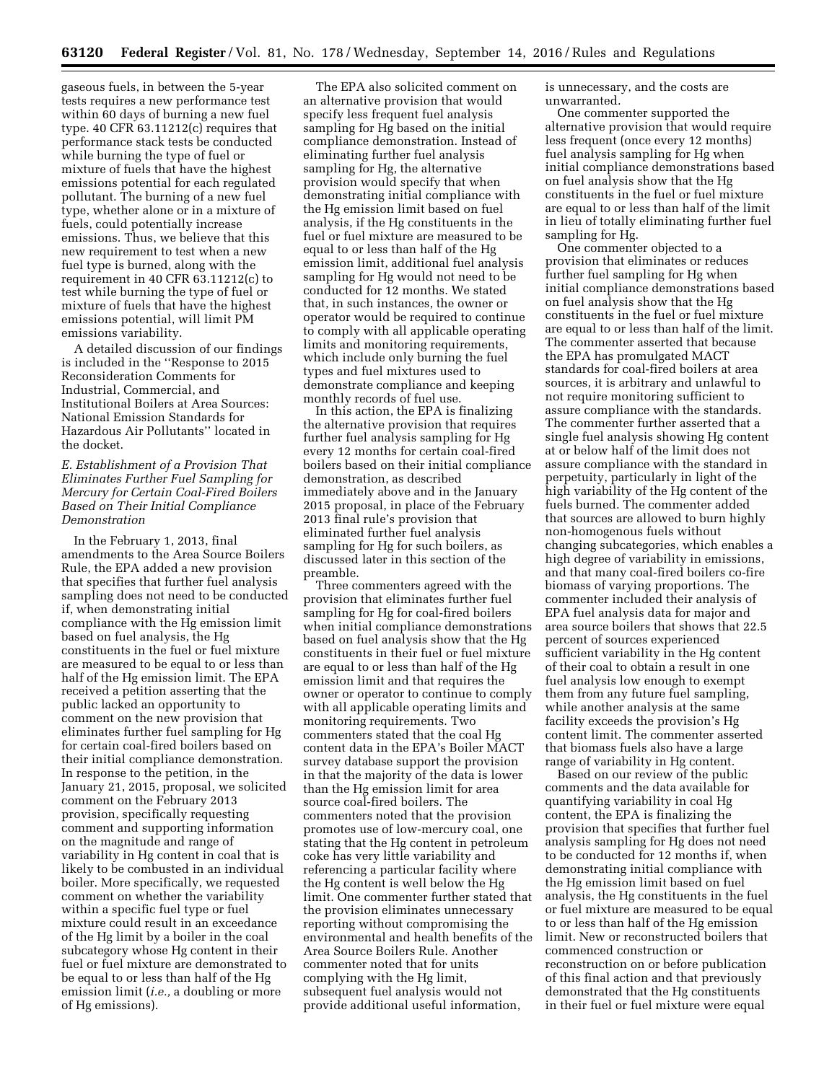gaseous fuels, in between the 5-year tests requires a new performance test within 60 days of burning a new fuel type. 40 CFR 63.11212(c) requires that performance stack tests be conducted while burning the type of fuel or mixture of fuels that have the highest emissions potential for each regulated pollutant. The burning of a new fuel type, whether alone or in a mixture of fuels, could potentially increase emissions. Thus, we believe that this new requirement to test when a new fuel type is burned, along with the requirement in 40 CFR 63.11212(c) to test while burning the type of fuel or mixture of fuels that have the highest emissions potential, will limit PM emissions variability.

A detailed discussion of our findings is included in the ''Response to 2015 Reconsideration Comments for Industrial, Commercial, and Institutional Boilers at Area Sources: National Emission Standards for Hazardous Air Pollutants'' located in the docket.

### *E. Establishment of a Provision That Eliminates Further Fuel Sampling for Mercury for Certain Coal-Fired Boilers Based on Their Initial Compliance Demonstration*

In the February 1, 2013, final amendments to the Area Source Boilers Rule, the EPA added a new provision that specifies that further fuel analysis sampling does not need to be conducted if, when demonstrating initial compliance with the Hg emission limit based on fuel analysis, the Hg constituents in the fuel or fuel mixture are measured to be equal to or less than half of the Hg emission limit. The EPA received a petition asserting that the public lacked an opportunity to comment on the new provision that eliminates further fuel sampling for Hg for certain coal-fired boilers based on their initial compliance demonstration. In response to the petition, in the January 21, 2015, proposal, we solicited comment on the February 2013 provision, specifically requesting comment and supporting information on the magnitude and range of variability in Hg content in coal that is likely to be combusted in an individual boiler. More specifically, we requested comment on whether the variability within a specific fuel type or fuel mixture could result in an exceedance of the Hg limit by a boiler in the coal subcategory whose Hg content in their fuel or fuel mixture are demonstrated to be equal to or less than half of the Hg emission limit (*i.e.,* a doubling or more of Hg emissions).

The EPA also solicited comment on an alternative provision that would specify less frequent fuel analysis sampling for Hg based on the initial compliance demonstration. Instead of eliminating further fuel analysis sampling for Hg, the alternative provision would specify that when demonstrating initial compliance with the Hg emission limit based on fuel analysis, if the Hg constituents in the fuel or fuel mixture are measured to be equal to or less than half of the Hg emission limit, additional fuel analysis sampling for Hg would not need to be conducted for 12 months. We stated that, in such instances, the owner or operator would be required to continue to comply with all applicable operating limits and monitoring requirements, which include only burning the fuel types and fuel mixtures used to demonstrate compliance and keeping monthly records of fuel use.

In this action, the EPA is finalizing the alternative provision that requires further fuel analysis sampling for Hg every 12 months for certain coal-fired boilers based on their initial compliance demonstration, as described immediately above and in the January 2015 proposal, in place of the February 2013 final rule's provision that eliminated further fuel analysis sampling for Hg for such boilers, as discussed later in this section of the preamble.

Three commenters agreed with the provision that eliminates further fuel sampling for Hg for coal-fired boilers when initial compliance demonstrations based on fuel analysis show that the Hg constituents in their fuel or fuel mixture are equal to or less than half of the Hg emission limit and that requires the owner or operator to continue to comply with all applicable operating limits and monitoring requirements. Two commenters stated that the coal Hg content data in the EPA's Boiler MACT survey database support the provision in that the majority of the data is lower than the Hg emission limit for area source coal-fired boilers. The commenters noted that the provision promotes use of low-mercury coal, one stating that the Hg content in petroleum coke has very little variability and referencing a particular facility where the Hg content is well below the Hg limit. One commenter further stated that the provision eliminates unnecessary reporting without compromising the environmental and health benefits of the Area Source Boilers Rule. Another commenter noted that for units complying with the Hg limit, subsequent fuel analysis would not provide additional useful information,

is unnecessary, and the costs are unwarranted.

One commenter supported the alternative provision that would require less frequent (once every 12 months) fuel analysis sampling for Hg when initial compliance demonstrations based on fuel analysis show that the Hg constituents in the fuel or fuel mixture are equal to or less than half of the limit in lieu of totally eliminating further fuel sampling for Hg.

One commenter objected to a provision that eliminates or reduces further fuel sampling for Hg when initial compliance demonstrations based on fuel analysis show that the Hg constituents in the fuel or fuel mixture are equal to or less than half of the limit. The commenter asserted that because the EPA has promulgated MACT standards for coal-fired boilers at area sources, it is arbitrary and unlawful to not require monitoring sufficient to assure compliance with the standards. The commenter further asserted that a single fuel analysis showing Hg content at or below half of the limit does not assure compliance with the standard in perpetuity, particularly in light of the high variability of the Hg content of the fuels burned. The commenter added that sources are allowed to burn highly non-homogenous fuels without changing subcategories, which enables a high degree of variability in emissions, and that many coal-fired boilers co-fire biomass of varying proportions. The commenter included their analysis of EPA fuel analysis data for major and area source boilers that shows that 22.5 percent of sources experienced sufficient variability in the Hg content of their coal to obtain a result in one fuel analysis low enough to exempt them from any future fuel sampling, while another analysis at the same facility exceeds the provision's Hg content limit. The commenter asserted that biomass fuels also have a large range of variability in Hg content.

Based on our review of the public comments and the data available for quantifying variability in coal Hg content, the EPA is finalizing the provision that specifies that further fuel analysis sampling for Hg does not need to be conducted for 12 months if, when demonstrating initial compliance with the Hg emission limit based on fuel analysis, the Hg constituents in the fuel or fuel mixture are measured to be equal to or less than half of the Hg emission limit. New or reconstructed boilers that commenced construction or reconstruction on or before publication of this final action and that previously demonstrated that the Hg constituents in their fuel or fuel mixture were equal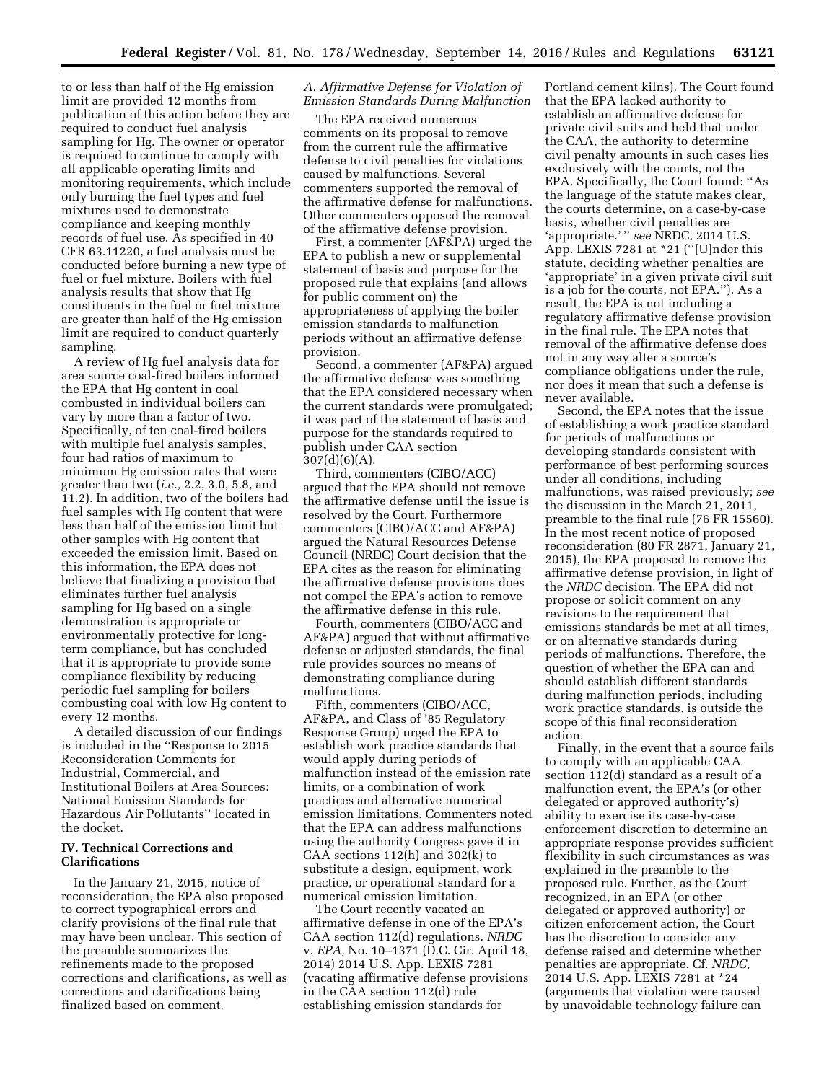to or less than half of the Hg emission limit are provided 12 months from publication of this action before they are required to conduct fuel analysis sampling for Hg. The owner or operator is required to continue to comply with all applicable operating limits and monitoring requirements, which include only burning the fuel types and fuel mixtures used to demonstrate compliance and keeping monthly records of fuel use. As specified in 40 CFR 63.11220, a fuel analysis must be conducted before burning a new type of fuel or fuel mixture. Boilers with fuel analysis results that show that Hg constituents in the fuel or fuel mixture are greater than half of the Hg emission limit are required to conduct quarterly sampling.

A review of Hg fuel analysis data for area source coal-fired boilers informed the EPA that Hg content in coal combusted in individual boilers can vary by more than a factor of two. Specifically, of ten coal-fired boilers with multiple fuel analysis samples, four had ratios of maximum to minimum Hg emission rates that were greater than two (*i.e.,* 2.2, 3.0, 5.8, and 11.2). In addition, two of the boilers had fuel samples with Hg content that were less than half of the emission limit but other samples with Hg content that exceeded the emission limit. Based on this information, the EPA does not believe that finalizing a provision that eliminates further fuel analysis sampling for Hg based on a single demonstration is appropriate or environmentally protective for longterm compliance, but has concluded that it is appropriate to provide some compliance flexibility by reducing periodic fuel sampling for boilers combusting coal with low Hg content to every 12 months.

A detailed discussion of our findings is included in the ''Response to 2015 Reconsideration Comments for Industrial, Commercial, and Institutional Boilers at Area Sources: National Emission Standards for Hazardous Air Pollutants'' located in the docket.

### **IV. Technical Corrections and Clarifications**

In the January 21, 2015, notice of reconsideration, the EPA also proposed to correct typographical errors and clarify provisions of the final rule that may have been unclear. This section of the preamble summarizes the refinements made to the proposed corrections and clarifications, as well as corrections and clarifications being finalized based on comment.

### *A. Affirmative Defense for Violation of Emission Standards During Malfunction*

The EPA received numerous comments on its proposal to remove from the current rule the affirmative defense to civil penalties for violations caused by malfunctions. Several commenters supported the removal of the affirmative defense for malfunctions. Other commenters opposed the removal of the affirmative defense provision.

First, a commenter (AF&PA) urged the EPA to publish a new or supplemental statement of basis and purpose for the proposed rule that explains (and allows for public comment on) the appropriateness of applying the boiler emission standards to malfunction periods without an affirmative defense provision.

Second, a commenter (AF&PA) argued the affirmative defense was something that the EPA considered necessary when the current standards were promulgated; it was part of the statement of basis and purpose for the standards required to publish under CAA section 307(d)(6)(A).

Third, commenters (CIBO/ACC) argued that the EPA should not remove the affirmative defense until the issue is resolved by the Court. Furthermore commenters (CIBO/ACC and AF&PA) argued the Natural Resources Defense Council (NRDC) Court decision that the EPA cites as the reason for eliminating the affirmative defense provisions does not compel the EPA's action to remove the affirmative defense in this rule.

Fourth, commenters (CIBO/ACC and AF&PA) argued that without affirmative defense or adjusted standards, the final rule provides sources no means of demonstrating compliance during malfunctions.

Fifth, commenters (CIBO/ACC, AF&PA, and Class of '85 Regulatory Response Group) urged the EPA to establish work practice standards that would apply during periods of malfunction instead of the emission rate limits, or a combination of work practices and alternative numerical emission limitations. Commenters noted that the EPA can address malfunctions using the authority Congress gave it in CAA sections  $112(h)$  and  $302(k)$  to substitute a design, equipment, work practice, or operational standard for a numerical emission limitation.

The Court recently vacated an affirmative defense in one of the EPA's CAA section 112(d) regulations. *NRDC*  v. *EPA,* No. 10–1371 (D.C. Cir. April 18, 2014) 2014 U.S. App. LEXIS 7281 (vacating affirmative defense provisions in the CAA section 112(d) rule establishing emission standards for

Portland cement kilns). The Court found that the EPA lacked authority to establish an affirmative defense for private civil suits and held that under the CAA, the authority to determine civil penalty amounts in such cases lies exclusively with the courts, not the EPA. Specifically, the Court found: ''As the language of the statute makes clear, the courts determine, on a case-by-case basis, whether civil penalties are 'appropriate.' " see NRDC, 2014 U.S. App. LEXIS 7281 at \*21 (''[U]nder this statute, deciding whether penalties are 'appropriate' in a given private civil suit is a job for the courts, not EPA.''). As a result, the EPA is not including a regulatory affirmative defense provision in the final rule. The EPA notes that removal of the affirmative defense does not in any way alter a source's compliance obligations under the rule, nor does it mean that such a defense is never available.

Second, the EPA notes that the issue of establishing a work practice standard for periods of malfunctions or developing standards consistent with performance of best performing sources under all conditions, including malfunctions, was raised previously; *see*  the discussion in the March 21, 2011, preamble to the final rule (76 FR 15560). In the most recent notice of proposed reconsideration (80 FR 2871, January 21, 2015), the EPA proposed to remove the affirmative defense provision, in light of the *NRDC* decision. The EPA did not propose or solicit comment on any revisions to the requirement that emissions standards be met at all times, or on alternative standards during periods of malfunctions. Therefore, the question of whether the EPA can and should establish different standards during malfunction periods, including work practice standards, is outside the scope of this final reconsideration action.

Finally, in the event that a source fails to comply with an applicable CAA section 112(d) standard as a result of a malfunction event, the EPA's (or other delegated or approved authority's) ability to exercise its case-by-case enforcement discretion to determine an appropriate response provides sufficient flexibility in such circumstances as was explained in the preamble to the proposed rule. Further, as the Court recognized, in an EPA (or other delegated or approved authority) or citizen enforcement action, the Court has the discretion to consider any defense raised and determine whether penalties are appropriate. Cf. *NRDC,*  2014 U.S. App. LEXIS 7281 at \*24 (arguments that violation were caused by unavoidable technology failure can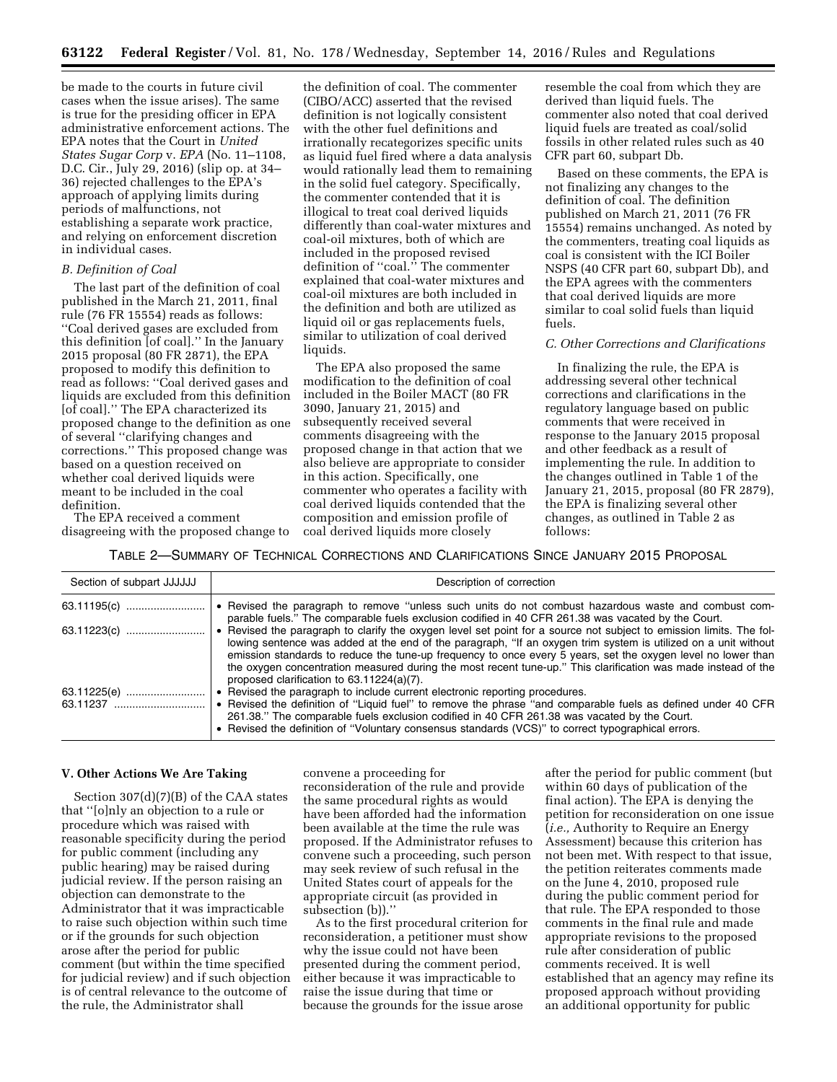be made to the courts in future civil cases when the issue arises). The same is true for the presiding officer in EPA administrative enforcement actions. The EPA notes that the Court in *United States Sugar Corp* v. *EPA* (No. 11–1108, D.C. Cir., July 29, 2016) (slip op. at 34– 36) rejected challenges to the EPA's approach of applying limits during periods of malfunctions, not establishing a separate work practice, and relying on enforcement discretion in individual cases.

### *B. Definition of Coal*

The last part of the definition of coal published in the March 21, 2011, final rule (76 FR 15554) reads as follows: ''Coal derived gases are excluded from this definition [of coal].'' In the January 2015 proposal (80 FR 2871), the EPA proposed to modify this definition to read as follows: ''Coal derived gases and liquids are excluded from this definition [of coal].'' The EPA characterized its proposed change to the definition as one of several ''clarifying changes and corrections.'' This proposed change was based on a question received on whether coal derived liquids were meant to be included in the coal definition.

The EPA received a comment disagreeing with the proposed change to

the definition of coal. The commenter (CIBO/ACC) asserted that the revised definition is not logically consistent with the other fuel definitions and irrationally recategorizes specific units as liquid fuel fired where a data analysis would rationally lead them to remaining in the solid fuel category. Specifically, the commenter contended that it is illogical to treat coal derived liquids differently than coal-water mixtures and coal-oil mixtures, both of which are included in the proposed revised definition of ''coal.'' The commenter explained that coal-water mixtures and coal-oil mixtures are both included in the definition and both are utilized as liquid oil or gas replacements fuels, similar to utilization of coal derived liquids.

The EPA also proposed the same modification to the definition of coal included in the Boiler MACT (80 FR 3090, January 21, 2015) and subsequently received several comments disagreeing with the proposed change in that action that we also believe are appropriate to consider in this action. Specifically, one commenter who operates a facility with coal derived liquids contended that the composition and emission profile of coal derived liquids more closely

resemble the coal from which they are derived than liquid fuels. The commenter also noted that coal derived liquid fuels are treated as coal/solid fossils in other related rules such as 40 CFR part 60, subpart Db.

Based on these comments, the EPA is not finalizing any changes to the definition of coal. The definition published on March 21, 2011 (76 FR 15554) remains unchanged. As noted by the commenters, treating coal liquids as coal is consistent with the ICI Boiler NSPS (40 CFR part 60, subpart Db), and the EPA agrees with the commenters that coal derived liquids are more similar to coal solid fuels than liquid fuels.

#### *C. Other Corrections and Clarifications*

In finalizing the rule, the EPA is addressing several other technical corrections and clarifications in the regulatory language based on public comments that were received in response to the January 2015 proposal and other feedback as a result of implementing the rule. In addition to the changes outlined in Table 1 of the January 21, 2015, proposal (80 FR 2879), the EPA is finalizing several other changes, as outlined in Table 2 as follows:

TABLE 2—SUMMARY OF TECHNICAL CORRECTIONS AND CLARIFICATIONS SINCE JANUARY 2015 PROPOSAL

| Section of subpart JJJJJJ | Description of correction                                                                                                                                                                                                                                                                                                                                                                                                                                                                                           |
|---------------------------|---------------------------------------------------------------------------------------------------------------------------------------------------------------------------------------------------------------------------------------------------------------------------------------------------------------------------------------------------------------------------------------------------------------------------------------------------------------------------------------------------------------------|
| 63.11195(c)               | • Revised the paragraph to remove "unless such units do not combust hazardous waste and combust com-<br>parable fuels." The comparable fuels exclusion codified in 40 CFR 261.38 was vacated by the Court.                                                                                                                                                                                                                                                                                                          |
| 63.11223(c)               | • Revised the paragraph to clarify the oxygen level set point for a source not subject to emission limits. The fol-<br>lowing sentence was added at the end of the paragraph, "If an oxygen trim system is utilized on a unit without<br>emission standards to reduce the tune-up frequency to once every 5 years, set the oxygen level no lower than<br>the oxygen concentration measured during the most recent tune-up." This clarification was made instead of the<br>proposed clarification to 63.11224(a)(7). |
| 63.11225(e)<br>63.11237   | • Revised the paragraph to include current electronic reporting procedures.<br>• Revised the definition of "Liquid fuel" to remove the phrase "and comparable fuels as defined under 40 CFR<br>261.38." The comparable fuels exclusion codified in 40 CFR 261.38 was vacated by the Court.<br>• Revised the definition of "Voluntary consensus standards (VCS)" to correct typographical errors.                                                                                                                    |

#### **V. Other Actions We Are Taking**

Section 307(d)(7)(B) of the CAA states that ''[o]nly an objection to a rule or procedure which was raised with reasonable specificity during the period for public comment (including any public hearing) may be raised during judicial review. If the person raising an objection can demonstrate to the Administrator that it was impracticable to raise such objection within such time or if the grounds for such objection arose after the period for public comment (but within the time specified for judicial review) and if such objection is of central relevance to the outcome of the rule, the Administrator shall

convene a proceeding for reconsideration of the rule and provide the same procedural rights as would have been afforded had the information been available at the time the rule was proposed. If the Administrator refuses to convene such a proceeding, such person may seek review of such refusal in the United States court of appeals for the appropriate circuit (as provided in subsection (b)).''

As to the first procedural criterion for reconsideration, a petitioner must show why the issue could not have been presented during the comment period, either because it was impracticable to raise the issue during that time or because the grounds for the issue arose

after the period for public comment (but within 60 days of publication of the final action). The EPA is denying the petition for reconsideration on one issue (*i.e.,* Authority to Require an Energy Assessment) because this criterion has not been met. With respect to that issue, the petition reiterates comments made on the June 4, 2010, proposed rule during the public comment period for that rule. The EPA responded to those comments in the final rule and made appropriate revisions to the proposed rule after consideration of public comments received. It is well established that an agency may refine its proposed approach without providing an additional opportunity for public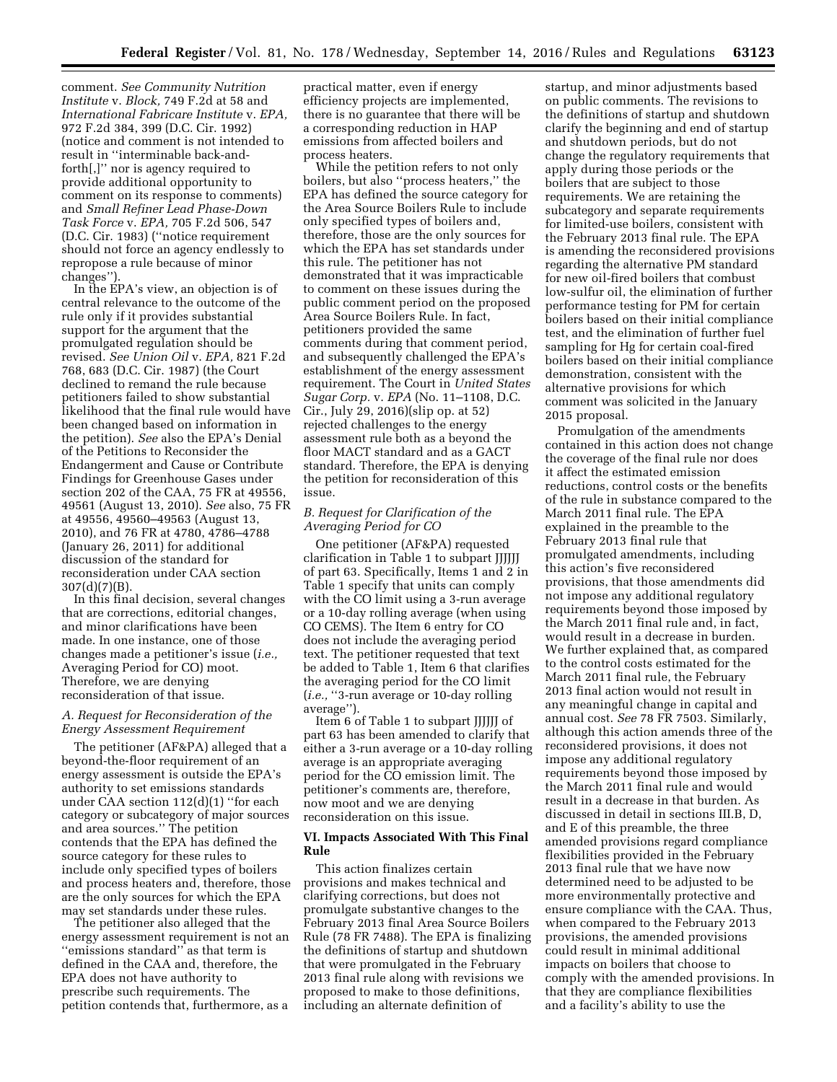comment. *See Community Nutrition Institute* v. *Block,* 749 F.2d at 58 and *International Fabricare Institute* v. *EPA,*  972 F.2d 384, 399 (D.C. Cir. 1992) (notice and comment is not intended to result in ''interminable back-andforth[,]'' nor is agency required to provide additional opportunity to comment on its response to comments) and *Small Refiner Lead Phase-Down Task Force* v. *EPA,* 705 F.2d 506, 547 (D.C. Cir. 1983) (''notice requirement should not force an agency endlessly to repropose a rule because of minor changes'').

In the EPA's view, an objection is of central relevance to the outcome of the rule only if it provides substantial support for the argument that the promulgated regulation should be revised. *See Union Oil* v. *EPA,* 821 F.2d 768, 683 (D.C. Cir. 1987) (the Court declined to remand the rule because petitioners failed to show substantial likelihood that the final rule would have been changed based on information in the petition). *See* also the EPA's Denial of the Petitions to Reconsider the Endangerment and Cause or Contribute Findings for Greenhouse Gases under section 202 of the CAA, 75 FR at 49556, 49561 (August 13, 2010). *See* also, 75 FR at 49556, 49560–49563 (August 13, 2010), and 76 FR at 4780, 4786–4788 (January 26, 2011) for additional discussion of the standard for reconsideration under CAA section  $307(d)(7)(B)$ .

In this final decision, several changes that are corrections, editorial changes, and minor clarifications have been made. In one instance, one of those changes made a petitioner's issue (*i.e.,*  Averaging Period for CO) moot. Therefore, we are denying reconsideration of that issue.

### *A. Request for Reconsideration of the Energy Assessment Requirement*

The petitioner (AF&PA) alleged that a beyond-the-floor requirement of an energy assessment is outside the EPA's authority to set emissions standards under CAA section 112(d)(1) ''for each category or subcategory of major sources and area sources.'' The petition contends that the EPA has defined the source category for these rules to include only specified types of boilers and process heaters and, therefore, those are the only sources for which the EPA may set standards under these rules.

The petitioner also alleged that the energy assessment requirement is not an ''emissions standard'' as that term is defined in the CAA and, therefore, the EPA does not have authority to prescribe such requirements. The petition contends that, furthermore, as a

practical matter, even if energy efficiency projects are implemented, there is no guarantee that there will be a corresponding reduction in HAP emissions from affected boilers and process heaters.

While the petition refers to not only boilers, but also ''process heaters,'' the EPA has defined the source category for the Area Source Boilers Rule to include only specified types of boilers and, therefore, those are the only sources for which the EPA has set standards under this rule. The petitioner has not demonstrated that it was impracticable to comment on these issues during the public comment period on the proposed Area Source Boilers Rule. In fact, petitioners provided the same comments during that comment period, and subsequently challenged the EPA's establishment of the energy assessment requirement. The Court in *United States Sugar Corp.* v. *EPA* (No. 11–1108, D.C. Cir., July 29, 2016)(slip op. at 52) rejected challenges to the energy assessment rule both as a beyond the floor MACT standard and as a GACT standard. Therefore, the EPA is denying the petition for reconsideration of this issue.

### *B. Request for Clarification of the Averaging Period for CO*

One petitioner (AF&PA) requested clarification in Table 1 to subpart JJJJJJ of part 63. Specifically, Items 1 and 2 in Table 1 specify that units can comply with the CO limit using a 3-run average or a 10-day rolling average (when using CO CEMS). The Item 6 entry for CO does not include the averaging period text. The petitioner requested that text be added to Table 1, Item 6 that clarifies the averaging period for the CO limit (*i.e.,* ''3-run average or 10-day rolling average'').

Item 6 of Table 1 to subpart JJJJJJ of part 63 has been amended to clarify that either a 3-run average or a 10-day rolling average is an appropriate averaging period for the CO emission limit. The petitioner's comments are, therefore, now moot and we are denying reconsideration on this issue.

### **VI. Impacts Associated With This Final Rule**

This action finalizes certain provisions and makes technical and clarifying corrections, but does not promulgate substantive changes to the February 2013 final Area Source Boilers Rule (78 FR 7488). The EPA is finalizing the definitions of startup and shutdown that were promulgated in the February 2013 final rule along with revisions we proposed to make to those definitions, including an alternate definition of

startup, and minor adjustments based on public comments. The revisions to the definitions of startup and shutdown clarify the beginning and end of startup and shutdown periods, but do not change the regulatory requirements that apply during those periods or the boilers that are subject to those requirements. We are retaining the subcategory and separate requirements for limited-use boilers, consistent with the February 2013 final rule. The EPA is amending the reconsidered provisions regarding the alternative PM standard for new oil-fired boilers that combust low-sulfur oil, the elimination of further performance testing for PM for certain boilers based on their initial compliance test, and the elimination of further fuel sampling for Hg for certain coal-fired boilers based on their initial compliance demonstration, consistent with the alternative provisions for which comment was solicited in the January 2015 proposal.

Promulgation of the amendments contained in this action does not change the coverage of the final rule nor does it affect the estimated emission reductions, control costs or the benefits of the rule in substance compared to the March 2011 final rule. The EPA explained in the preamble to the February 2013 final rule that promulgated amendments, including this action's five reconsidered provisions, that those amendments did not impose any additional regulatory requirements beyond those imposed by the March 2011 final rule and, in fact, would result in a decrease in burden. We further explained that, as compared to the control costs estimated for the March 2011 final rule, the February 2013 final action would not result in any meaningful change in capital and annual cost. *See* 78 FR 7503. Similarly, although this action amends three of the reconsidered provisions, it does not impose any additional regulatory requirements beyond those imposed by the March 2011 final rule and would result in a decrease in that burden. As discussed in detail in sections III.B, D, and E of this preamble, the three amended provisions regard compliance flexibilities provided in the February 2013 final rule that we have now determined need to be adjusted to be more environmentally protective and ensure compliance with the CAA. Thus, when compared to the February 2013 provisions, the amended provisions could result in minimal additional impacts on boilers that choose to comply with the amended provisions. In that they are compliance flexibilities and a facility's ability to use the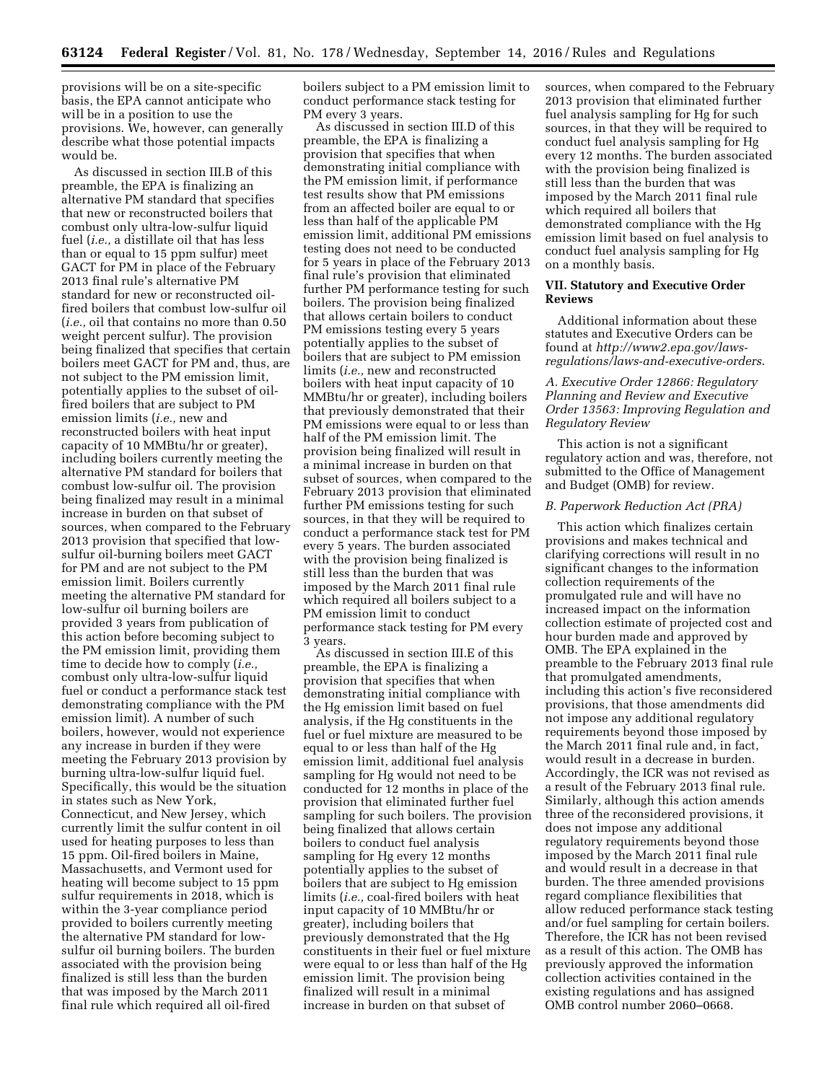provisions will be on a site-specific basis, the EPA cannot anticipate who will be in a position to use the provisions. We, however, can generally describe what those potential impacts would be.

As discussed in section III.B of this preamble, the EPA is finalizing an alternative PM standard that specifies that new or reconstructed boilers that combust only ultra-low-sulfur liquid fuel (*i.e.,* a distillate oil that has less than or equal to 15 ppm sulfur) meet GACT for PM in place of the February 2013 final rule's alternative PM standard for new or reconstructed oilfired boilers that combust low-sulfur oil (*i.e.,* oil that contains no more than 0.50 weight percent sulfur). The provision being finalized that specifies that certain boilers meet GACT for PM and, thus, are not subject to the PM emission limit, potentially applies to the subset of oilfired boilers that are subject to PM emission limits (*i.e.,* new and reconstructed boilers with heat input capacity of 10 MMBtu/hr or greater), including boilers currently meeting the alternative PM standard for boilers that combust low-sulfur oil. The provision being finalized may result in a minimal increase in burden on that subset of sources, when compared to the February 2013 provision that specified that lowsulfur oil-burning boilers meet GACT for PM and are not subject to the PM emission limit. Boilers currently meeting the alternative PM standard for low-sulfur oil burning boilers are provided 3 years from publication of this action before becoming subject to the PM emission limit, providing them time to decide how to comply (*i.e.,*  combust only ultra-low-sulfur liquid fuel or conduct a performance stack test demonstrating compliance with the PM emission limit). A number of such boilers, however, would not experience any increase in burden if they were meeting the February 2013 provision by burning ultra-low-sulfur liquid fuel. Specifically, this would be the situation in states such as New York, Connecticut, and New Jersey, which currently limit the sulfur content in oil used for heating purposes to less than 15 ppm. Oil-fired boilers in Maine, Massachusetts, and Vermont used for heating will become subject to 15 ppm sulfur requirements in 2018, which is within the 3-year compliance period provided to boilers currently meeting the alternative PM standard for lowsulfur oil burning boilers. The burden associated with the provision being finalized is still less than the burden that was imposed by the March 2011 final rule which required all oil-fired

boilers subject to a PM emission limit to conduct performance stack testing for PM every 3 years.

As discussed in section III.D of this preamble, the EPA is finalizing a provision that specifies that when demonstrating initial compliance with the PM emission limit, if performance test results show that PM emissions from an affected boiler are equal to or less than half of the applicable PM emission limit, additional PM emissions testing does not need to be conducted for 5 years in place of the February 2013 final rule's provision that eliminated further PM performance testing for such boilers. The provision being finalized that allows certain boilers to conduct PM emissions testing every 5 years potentially applies to the subset of boilers that are subject to PM emission limits (*i.e.,* new and reconstructed boilers with heat input capacity of 10 MMBtu/hr or greater), including boilers that previously demonstrated that their PM emissions were equal to or less than half of the PM emission limit. The provision being finalized will result in a minimal increase in burden on that subset of sources, when compared to the February 2013 provision that eliminated further PM emissions testing for such sources, in that they will be required to conduct a performance stack test for PM every 5 years. The burden associated with the provision being finalized is still less than the burden that was imposed by the March 2011 final rule which required all boilers subject to a PM emission limit to conduct performance stack testing for PM every 3 years.

As discussed in section III.E of this preamble, the EPA is finalizing a provision that specifies that when demonstrating initial compliance with the Hg emission limit based on fuel analysis, if the Hg constituents in the fuel or fuel mixture are measured to be equal to or less than half of the Hg emission limit, additional fuel analysis sampling for Hg would not need to be conducted for 12 months in place of the provision that eliminated further fuel sampling for such boilers. The provision being finalized that allows certain boilers to conduct fuel analysis sampling for Hg every 12 months potentially applies to the subset of boilers that are subject to Hg emission limits (*i.e.,* coal-fired boilers with heat input capacity of 10 MMBtu/hr or greater), including boilers that previously demonstrated that the Hg constituents in their fuel or fuel mixture were equal to or less than half of the Hg emission limit. The provision being finalized will result in a minimal increase in burden on that subset of

sources, when compared to the February 2013 provision that eliminated further fuel analysis sampling for Hg for such sources, in that they will be required to conduct fuel analysis sampling for Hg every 12 months. The burden associated with the provision being finalized is still less than the burden that was imposed by the March 2011 final rule which required all boilers that demonstrated compliance with the Hg emission limit based on fuel analysis to conduct fuel analysis sampling for Hg on a monthly basis.

#### **VII. Statutory and Executive Order Reviews**

Additional information about these statutes and Executive Orders can be found at *[http://www2.epa.gov/laws](http://www2.epa.gov/laws-regulations/laws-and-executive-orders)[regulations/laws-and-executive-orders](http://www2.epa.gov/laws-regulations/laws-and-executive-orders)*.

### *A. Executive Order 12866: Regulatory Planning and Review and Executive Order 13563: Improving Regulation and Regulatory Review*

This action is not a significant regulatory action and was, therefore, not submitted to the Office of Management and Budget (OMB) for review.

### *B. Paperwork Reduction Act (PRA)*

This action which finalizes certain provisions and makes technical and clarifying corrections will result in no significant changes to the information collection requirements of the promulgated rule and will have no increased impact on the information collection estimate of projected cost and hour burden made and approved by OMB. The EPA explained in the preamble to the February 2013 final rule that promulgated amendments, including this action's five reconsidered provisions, that those amendments did not impose any additional regulatory requirements beyond those imposed by the March 2011 final rule and, in fact, would result in a decrease in burden. Accordingly, the ICR was not revised as a result of the February 2013 final rule. Similarly, although this action amends three of the reconsidered provisions, it does not impose any additional regulatory requirements beyond those imposed by the March 2011 final rule and would result in a decrease in that burden. The three amended provisions regard compliance flexibilities that allow reduced performance stack testing and/or fuel sampling for certain boilers. Therefore, the ICR has not been revised as a result of this action. The OMB has previously approved the information collection activities contained in the existing regulations and has assigned OMB control number 2060–0668.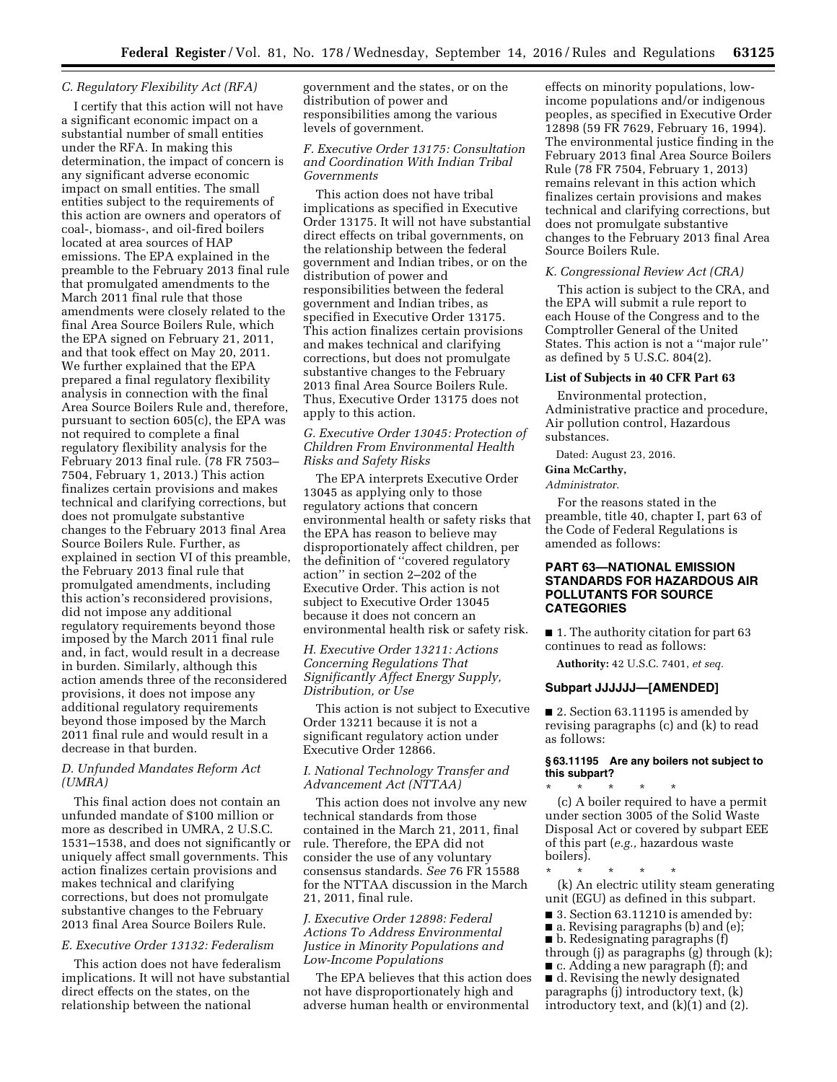### *C. Regulatory Flexibility Act (RFA)*

I certify that this action will not have a significant economic impact on a substantial number of small entities under the RFA. In making this determination, the impact of concern is any significant adverse economic impact on small entities. The small entities subject to the requirements of this action are owners and operators of coal-, biomass-, and oil-fired boilers located at area sources of HAP emissions. The EPA explained in the preamble to the February 2013 final rule that promulgated amendments to the March 2011 final rule that those amendments were closely related to the final Area Source Boilers Rule, which the EPA signed on February 21, 2011, and that took effect on May 20, 2011. We further explained that the EPA prepared a final regulatory flexibility analysis in connection with the final Area Source Boilers Rule and, therefore, pursuant to section 605(c), the EPA was not required to complete a final regulatory flexibility analysis for the February 2013 final rule. (78 FR 7503– 7504, February 1, 2013.) This action finalizes certain provisions and makes technical and clarifying corrections, but does not promulgate substantive changes to the February 2013 final Area Source Boilers Rule. Further, as explained in section VI of this preamble, the February 2013 final rule that promulgated amendments, including this action's reconsidered provisions, did not impose any additional regulatory requirements beyond those imposed by the March 2011 final rule and, in fact, would result in a decrease in burden. Similarly, although this action amends three of the reconsidered provisions, it does not impose any additional regulatory requirements beyond those imposed by the March 2011 final rule and would result in a decrease in that burden.

### *D. Unfunded Mandates Reform Act (UMRA)*

This final action does not contain an unfunded mandate of \$100 million or more as described in UMRA, 2 U.S.C. 1531–1538, and does not significantly or uniquely affect small governments. This action finalizes certain provisions and makes technical and clarifying corrections, but does not promulgate substantive changes to the February 2013 final Area Source Boilers Rule.

# *E. Executive Order 13132: Federalism*

This action does not have federalism implications. It will not have substantial direct effects on the states, on the relationship between the national

government and the states, or on the distribution of power and responsibilities among the various levels of government.

### *F. Executive Order 13175: Consultation and Coordination With Indian Tribal Governments*

This action does not have tribal implications as specified in Executive Order 13175. It will not have substantial direct effects on tribal governments, on the relationship between the federal government and Indian tribes, or on the distribution of power and responsibilities between the federal government and Indian tribes, as specified in Executive Order 13175. This action finalizes certain provisions and makes technical and clarifying corrections, but does not promulgate substantive changes to the February 2013 final Area Source Boilers Rule. Thus, Executive Order 13175 does not apply to this action.

### *G. Executive Order 13045: Protection of Children From Environmental Health Risks and Safety Risks*

The EPA interprets Executive Order 13045 as applying only to those regulatory actions that concern environmental health or safety risks that the EPA has reason to believe may disproportionately affect children, per the definition of ''covered regulatory action'' in section 2–202 of the Executive Order. This action is not subject to Executive Order 13045 because it does not concern an environmental health risk or safety risk.

### *H. Executive Order 13211: Actions Concerning Regulations That Significantly Affect Energy Supply, Distribution, or Use*

This action is not subject to Executive Order 13211 because it is not a significant regulatory action under Executive Order 12866.

### *I. National Technology Transfer and Advancement Act (NTTAA)*

This action does not involve any new technical standards from those contained in the March 21, 2011, final rule. Therefore, the EPA did not consider the use of any voluntary consensus standards. *See* 76 FR 15588 for the NTTAA discussion in the March 21, 2011, final rule.

### *J. Executive Order 12898: Federal Actions To Address Environmental Justice in Minority Populations and Low-Income Populations*

The EPA believes that this action does not have disproportionately high and adverse human health or environmental

effects on minority populations, lowincome populations and/or indigenous peoples, as specified in Executive Order 12898 (59 FR 7629, February 16, 1994). The environmental justice finding in the February 2013 final Area Source Boilers Rule (78 FR 7504, February 1, 2013) remains relevant in this action which finalizes certain provisions and makes technical and clarifying corrections, but does not promulgate substantive changes to the February 2013 final Area Source Boilers Rule.

#### *K. Congressional Review Act (CRA)*

This action is subject to the CRA, and the EPA will submit a rule report to each House of the Congress and to the Comptroller General of the United States. This action is not a ''major rule'' as defined by 5 U.S.C. 804(2).

### **List of Subjects in 40 CFR Part 63**

Environmental protection, Administrative practice and procedure, Air pollution control, Hazardous substances.

Dated: August 23, 2016.

#### **Gina McCarthy,**  *Administrator.*

For the reasons stated in the preamble, title 40, chapter I, part 63 of the Code of Federal Regulations is amended as follows:

### **PART 63—NATIONAL EMISSION STANDARDS FOR HAZARDOUS AIR POLLUTANTS FOR SOURCE CATEGORIES**

■ 1. The authority citation for part 63 continues to read as follows:

**Authority:** 42 U.S.C. 7401, *et seq.* 

#### **Subpart JJJJJJ—[AMENDED]**

■ 2. Section 63.11195 is amended by revising paragraphs (c) and (k) to read as follows:

### **§ 63.11195 Are any boilers not subject to this subpart?**

\* \* \* \* \* (c) A boiler required to have a permit under section 3005 of the Solid Waste Disposal Act or covered by subpart EEE of this part (*e.g.,* hazardous waste boilers).

\* \* \* \* \* (k) An electric utility steam generating unit (EGU) as defined in this subpart.

- 3. Section 63.11210 is amended by:
- a. Revising paragraphs (b) and (e);
- b. Redesignating paragraphs (f)
- through (j) as paragraphs (g) through (k);
- c. Adding a new paragraph (f); and
- d. Revising the newly designated paragraphs (j) introductory text, (k)
- introductory text, and (k)(1) and (2).
-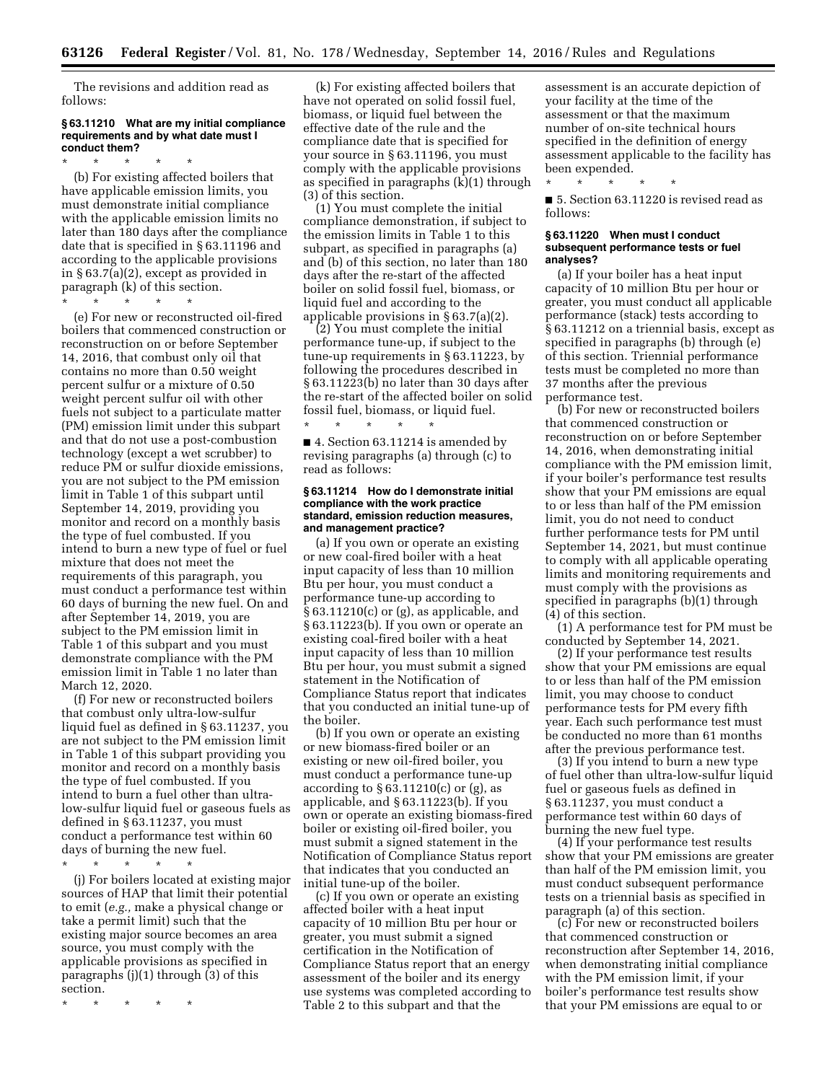The revisions and addition read as follows:

### **§ 63.11210 What are my initial compliance requirements and by what date must I conduct them?**

\* \* \* \* \* (b) For existing affected boilers that have applicable emission limits, you must demonstrate initial compliance with the applicable emission limits no later than 180 days after the compliance date that is specified in § 63.11196 and according to the applicable provisions in § 63.7(a)(2), except as provided in paragraph (k) of this section.

\* \* \* \* \*

(e) For new or reconstructed oil-fired boilers that commenced construction or reconstruction on or before September 14, 2016, that combust only oil that contains no more than 0.50 weight percent sulfur or a mixture of 0.50 weight percent sulfur oil with other fuels not subject to a particulate matter (PM) emission limit under this subpart and that do not use a post-combustion technology (except a wet scrubber) to reduce PM or sulfur dioxide emissions, you are not subject to the PM emission limit in Table 1 of this subpart until September 14, 2019, providing you monitor and record on a monthly basis the type of fuel combusted. If you intend to burn a new type of fuel or fuel mixture that does not meet the requirements of this paragraph, you must conduct a performance test within 60 days of burning the new fuel. On and after September 14, 2019, you are subject to the PM emission limit in Table 1 of this subpart and you must demonstrate compliance with the PM emission limit in Table 1 no later than March 12, 2020.

(f) For new or reconstructed boilers that combust only ultra-low-sulfur liquid fuel as defined in § 63.11237, you are not subject to the PM emission limit in Table 1 of this subpart providing you monitor and record on a monthly basis the type of fuel combusted. If you intend to burn a fuel other than ultralow-sulfur liquid fuel or gaseous fuels as defined in § 63.11237, you must conduct a performance test within 60 days of burning the new fuel.

\* \* \* \* \*

(j) For boilers located at existing major sources of HAP that limit their potential to emit (*e.g.,* make a physical change or take a permit limit) such that the existing major source becomes an area source, you must comply with the applicable provisions as specified in paragraphs (j)(1) through (3) of this section.

\* \* \* \* \*

(k) For existing affected boilers that have not operated on solid fossil fuel, biomass, or liquid fuel between the effective date of the rule and the compliance date that is specified for your source in § 63.11196, you must comply with the applicable provisions as specified in paragraphs (k)(1) through (3) of this section.

(1) You must complete the initial compliance demonstration, if subject to the emission limits in Table 1 to this subpart, as specified in paragraphs (a) and (b) of this section, no later than 180 days after the re-start of the affected boiler on solid fossil fuel, biomass, or liquid fuel and according to the applicable provisions in § 63.7(a)(2).

(2) You must complete the initial performance tune-up, if subject to the tune-up requirements in § 63.11223, by following the procedures described in § 63.11223(b) no later than 30 days after the re-start of the affected boiler on solid fossil fuel, biomass, or liquid fuel.

■ 4. Section 63.11214 is amended by revising paragraphs (a) through (c) to read as follows:

\* \* \* \* \*

#### **§ 63.11214 How do I demonstrate initial compliance with the work practice standard, emission reduction measures, and management practice?**

(a) If you own or operate an existing or new coal-fired boiler with a heat input capacity of less than 10 million Btu per hour, you must conduct a performance tune-up according to § 63.11210(c) or (g), as applicable, and § 63.11223(b). If you own or operate an existing coal-fired boiler with a heat input capacity of less than 10 million Btu per hour, you must submit a signed statement in the Notification of Compliance Status report that indicates that you conducted an initial tune-up of the boiler.

(b) If you own or operate an existing or new biomass-fired boiler or an existing or new oil-fired boiler, you must conduct a performance tune-up according to  $\S 63.11210(c)$  or (g), as applicable, and § 63.11223(b). If you own or operate an existing biomass-fired boiler or existing oil-fired boiler, you must submit a signed statement in the Notification of Compliance Status report that indicates that you conducted an initial tune-up of the boiler.

(c) If you own or operate an existing affected boiler with a heat input capacity of 10 million Btu per hour or greater, you must submit a signed certification in the Notification of Compliance Status report that an energy assessment of the boiler and its energy use systems was completed according to Table 2 to this subpart and that the

assessment is an accurate depiction of your facility at the time of the assessment or that the maximum number of on-site technical hours specified in the definition of energy assessment applicable to the facility has been expended.

■ 5. Section 63.11220 is revised read as follows:

#### **§ 63.11220 When must I conduct subsequent performance tests or fuel analyses?**

\* \* \* \* \*

(a) If your boiler has a heat input capacity of 10 million Btu per hour or greater, you must conduct all applicable performance (stack) tests according to § 63.11212 on a triennial basis, except as specified in paragraphs (b) through (e) of this section. Triennial performance tests must be completed no more than 37 months after the previous performance test.

(b) For new or reconstructed boilers that commenced construction or reconstruction on or before September 14, 2016, when demonstrating initial compliance with the PM emission limit, if your boiler's performance test results show that your PM emissions are equal to or less than half of the PM emission limit, you do not need to conduct further performance tests for PM until September 14, 2021, but must continue to comply with all applicable operating limits and monitoring requirements and must comply with the provisions as specified in paragraphs (b)(1) through (4) of this section.

(1) A performance test for PM must be conducted by September 14, 2021.

(2) If your performance test results show that your PM emissions are equal to or less than half of the PM emission limit, you may choose to conduct performance tests for PM every fifth year. Each such performance test must be conducted no more than 61 months after the previous performance test.

(3) If you intend to burn a new type of fuel other than ultra-low-sulfur liquid fuel or gaseous fuels as defined in § 63.11237, you must conduct a performance test within 60 days of burning the new fuel type.

(4) If your performance test results show that your PM emissions are greater than half of the PM emission limit, you must conduct subsequent performance tests on a triennial basis as specified in paragraph (a) of this section.

(c) For new or reconstructed boilers that commenced construction or reconstruction after September 14, 2016, when demonstrating initial compliance with the PM emission limit, if your boiler's performance test results show that your PM emissions are equal to or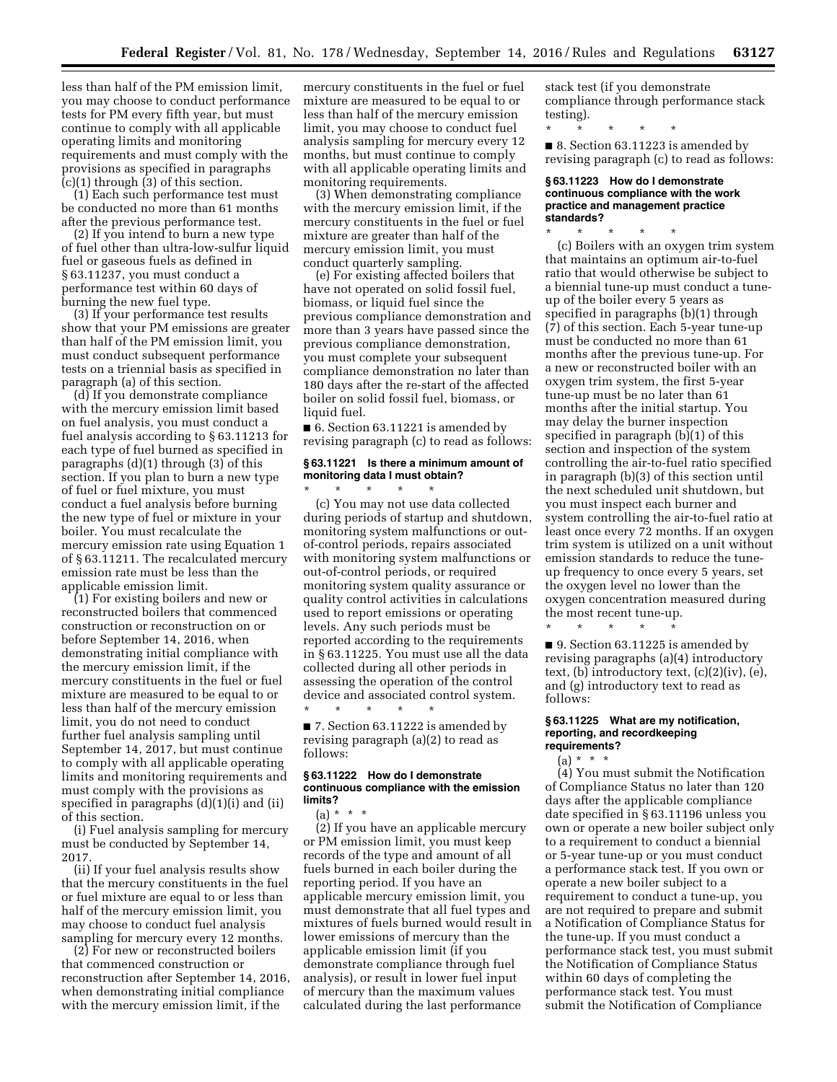less than half of the PM emission limit, you may choose to conduct performance tests for PM every fifth year, but must continue to comply with all applicable operating limits and monitoring requirements and must comply with the provisions as specified in paragraphs (c)(1) through (3) of this section.

(1) Each such performance test must be conducted no more than 61 months after the previous performance test.

(2) If you intend to burn a new type of fuel other than ultra-low-sulfur liquid fuel or gaseous fuels as defined in § 63.11237, you must conduct a performance test within 60 days of burning the new fuel type.

(3) If your performance test results show that your PM emissions are greater than half of the PM emission limit, you must conduct subsequent performance tests on a triennial basis as specified in paragraph (a) of this section.

(d) If you demonstrate compliance with the mercury emission limit based on fuel analysis, you must conduct a fuel analysis according to § 63.11213 for each type of fuel burned as specified in paragraphs (d)(1) through (3) of this section. If you plan to burn a new type of fuel or fuel mixture, you must conduct a fuel analysis before burning the new type of fuel or mixture in your boiler. You must recalculate the mercury emission rate using Equation 1 of § 63.11211. The recalculated mercury emission rate must be less than the applicable emission limit.

(1) For existing boilers and new or reconstructed boilers that commenced construction or reconstruction on or before September 14, 2016, when demonstrating initial compliance with the mercury emission limit, if the mercury constituents in the fuel or fuel mixture are measured to be equal to or less than half of the mercury emission limit, you do not need to conduct further fuel analysis sampling until September 14, 2017, but must continue to comply with all applicable operating limits and monitoring requirements and must comply with the provisions as specified in paragraphs (d)(1)(i) and (ii) of this section.

(i) Fuel analysis sampling for mercury must be conducted by September 14, 2017.

(ii) If your fuel analysis results show that the mercury constituents in the fuel or fuel mixture are equal to or less than half of the mercury emission limit, you may choose to conduct fuel analysis sampling for mercury every 12 months.

(2) For new or reconstructed boilers that commenced construction or reconstruction after September 14, 2016, when demonstrating initial compliance with the mercury emission limit, if the

mercury constituents in the fuel or fuel mixture are measured to be equal to or less than half of the mercury emission limit, you may choose to conduct fuel analysis sampling for mercury every 12 months, but must continue to comply with all applicable operating limits and monitoring requirements.

(3) When demonstrating compliance with the mercury emission limit, if the mercury constituents in the fuel or fuel mixture are greater than half of the mercury emission limit, you must conduct quarterly sampling.

(e) For existing affected boilers that have not operated on solid fossil fuel, biomass, or liquid fuel since the previous compliance demonstration and more than 3 years have passed since the previous compliance demonstration, you must complete your subsequent compliance demonstration no later than 180 days after the re-start of the affected boiler on solid fossil fuel, biomass, or liquid fuel.

■ 6. Section 63.11221 is amended by revising paragraph (c) to read as follows:

### **§ 63.11221 Is there a minimum amount of monitoring data I must obtain?**

\* \* \* \* \* (c) You may not use data collected during periods of startup and shutdown, monitoring system malfunctions or outof-control periods, repairs associated with monitoring system malfunctions or out-of-control periods, or required monitoring system quality assurance or quality control activities in calculations used to report emissions or operating levels. Any such periods must be reported according to the requirements in § 63.11225. You must use all the data collected during all other periods in assessing the operation of the control device and associated control system.

\* \* \* \* \* ■ 7. Section 63.11222 is amended by revising paragraph (a)(2) to read as follows:

### **§ 63.11222 How do I demonstrate continuous compliance with the emission limits?**

 $(a) * * * *$ 

(2) If you have an applicable mercury or PM emission limit, you must keep records of the type and amount of all fuels burned in each boiler during the reporting period. If you have an applicable mercury emission limit, you must demonstrate that all fuel types and mixtures of fuels burned would result in lower emissions of mercury than the applicable emission limit (if you demonstrate compliance through fuel analysis), or result in lower fuel input of mercury than the maximum values calculated during the last performance

stack test (if you demonstrate compliance through performance stack testing).

\* \* \* \* \*

■ 8. Section 63.11223 is amended by revising paragraph (c) to read as follows:

#### **§ 63.11223 How do I demonstrate continuous compliance with the work practice and management practice standards?**

\* \* \* \* \* (c) Boilers with an oxygen trim system that maintains an optimum air-to-fuel ratio that would otherwise be subject to a biennial tune-up must conduct a tuneup of the boiler every 5 years as specified in paragraphs (b)(1) through (7) of this section. Each 5-year tune-up must be conducted no more than 61 months after the previous tune-up. For a new or reconstructed boiler with an oxygen trim system, the first 5-year tune-up must be no later than 61 months after the initial startup. You may delay the burner inspection specified in paragraph (b)(1) of this section and inspection of the system controlling the air-to-fuel ratio specified in paragraph (b)(3) of this section until the next scheduled unit shutdown, but you must inspect each burner and system controlling the air-to-fuel ratio at least once every 72 months. If an oxygen trim system is utilized on a unit without emission standards to reduce the tuneup frequency to once every 5 years, set the oxygen level no lower than the oxygen concentration measured during the most recent tune-up.

\* \* \* \* \* ■ 9. Section 63.11225 is amended by revising paragraphs (a)(4) introductory text, (b) introductory text, (c)(2)(iv), (e), and (g) introductory text to read as follows:

#### **§ 63.11225 What are my notification, reporting, and recordkeeping requirements?**

# $(a) * * * *$

(4) You must submit the Notification of Compliance Status no later than 120 days after the applicable compliance date specified in § 63.11196 unless you own or operate a new boiler subject only to a requirement to conduct a biennial or 5-year tune-up or you must conduct a performance stack test. If you own or operate a new boiler subject to a requirement to conduct a tune-up, you are not required to prepare and submit a Notification of Compliance Status for the tune-up. If you must conduct a performance stack test, you must submit the Notification of Compliance Status within 60 days of completing the performance stack test. You must submit the Notification of Compliance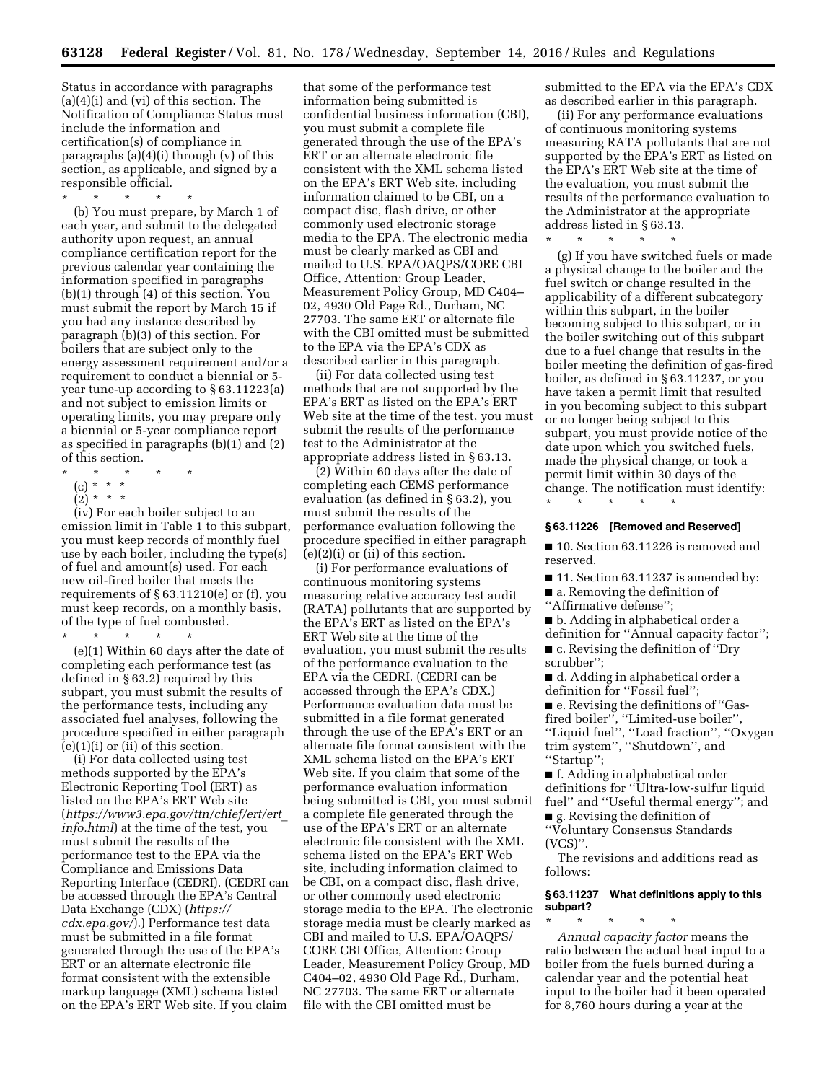Status in accordance with paragraphs (a)(4)(i) and (vi) of this section. The Notification of Compliance Status must include the information and certification(s) of compliance in paragraphs (a)(4)(i) through (v) of this section, as applicable, and signed by a responsible official.

\* \* \* \* \*

(b) You must prepare, by March 1 of each year, and submit to the delegated authority upon request, an annual compliance certification report for the previous calendar year containing the information specified in paragraphs (b)(1) through (4) of this section. You must submit the report by March 15 if you had any instance described by paragraph (b)(3) of this section. For boilers that are subject only to the energy assessment requirement and/or a requirement to conduct a biennial or 5 year tune-up according to § 63.11223(a) and not subject to emission limits or operating limits, you may prepare only a biennial or 5-year compliance report as specified in paragraphs (b)(1) and (2) of this section.

- \* \* \* \* \*
- (c) \* \* \*
- $(2)^*$  \* \*

(iv) For each boiler subject to an emission limit in Table 1 to this subpart, you must keep records of monthly fuel use by each boiler, including the type(s) of fuel and amount(s) used. For each new oil-fired boiler that meets the requirements of § 63.11210(e) or (f), you must keep records, on a monthly basis, of the type of fuel combusted.

\* \* \* \* \*

(e)(1) Within 60 days after the date of completing each performance test (as defined in § 63.2) required by this subpart, you must submit the results of the performance tests, including any associated fuel analyses, following the procedure specified in either paragraph  $(e)(1)(i)$  or  $(ii)$  of this section.

(i) For data collected using test methods supported by the EPA's Electronic Reporting Tool (ERT) as listed on the EPA's ERT Web site (*[https://www3.epa.gov/ttn/chief/ert/ert](https://www3.epa.gov/ttn/chief/ert/ert_info.html)*\_ *[info.html](https://www3.epa.gov/ttn/chief/ert/ert_info.html)*) at the time of the test, you must submit the results of the performance test to the EPA via the Compliance and Emissions Data Reporting Interface (CEDRI). (CEDRI can be accessed through the EPA's Central Data Exchange (CDX) (*[https://](https://cdx.epa.gov/) [cdx.epa.gov/](https://cdx.epa.gov/)*).) Performance test data must be submitted in a file format generated through the use of the EPA's ERT or an alternate electronic file format consistent with the extensible markup language (XML) schema listed on the EPA's ERT Web site. If you claim

that some of the performance test information being submitted is confidential business information (CBI), you must submit a complete file generated through the use of the EPA's ERT or an alternate electronic file consistent with the XML schema listed on the EPA's ERT Web site, including information claimed to be CBI, on a compact disc, flash drive, or other commonly used electronic storage media to the EPA. The electronic media must be clearly marked as CBI and mailed to U.S. EPA/OAQPS/CORE CBI Office, Attention: Group Leader, Measurement Policy Group, MD C404– 02, 4930 Old Page Rd., Durham, NC 27703. The same ERT or alternate file with the CBI omitted must be submitted to the EPA via the EPA's CDX as described earlier in this paragraph.

(ii) For data collected using test methods that are not supported by the EPA's ERT as listed on the EPA's ERT Web site at the time of the test, you must submit the results of the performance test to the Administrator at the appropriate address listed in § 63.13.

(2) Within 60 days after the date of completing each CEMS performance evaluation (as defined in § 63.2), you must submit the results of the performance evaluation following the procedure specified in either paragraph  $(e)(2)(i)$  or  $(ii)$  of this section.

(i) For performance evaluations of continuous monitoring systems measuring relative accuracy test audit (RATA) pollutants that are supported by the EPA's ERT as listed on the EPA's ERT Web site at the time of the evaluation, you must submit the results of the performance evaluation to the EPA via the CEDRI. (CEDRI can be accessed through the EPA's CDX.) Performance evaluation data must be submitted in a file format generated through the use of the EPA's ERT or an alternate file format consistent with the XML schema listed on the EPA's ERT Web site. If you claim that some of the performance evaluation information being submitted is CBI, you must submit a complete file generated through the use of the EPA's ERT or an alternate electronic file consistent with the XML schema listed on the EPA's ERT Web site, including information claimed to be CBI, on a compact disc, flash drive, or other commonly used electronic storage media to the EPA. The electronic storage media must be clearly marked as CBI and mailed to U.S. EPA/OAQPS/ CORE CBI Office, Attention: Group Leader, Measurement Policy Group, MD C404–02, 4930 Old Page Rd., Durham, NC 27703. The same ERT or alternate file with the CBI omitted must be

submitted to the EPA via the EPA's CDX as described earlier in this paragraph.

(ii) For any performance evaluations of continuous monitoring systems measuring RATA pollutants that are not supported by the EPA's ERT as listed on the EPA's ERT Web site at the time of the evaluation, you must submit the results of the performance evaluation to the Administrator at the appropriate address listed in  $§ 63.13$ .

\* \* \* \* \*

(g) If you have switched fuels or made a physical change to the boiler and the fuel switch or change resulted in the applicability of a different subcategory within this subpart, in the boiler becoming subject to this subpart, or in the boiler switching out of this subpart due to a fuel change that results in the boiler meeting the definition of gas-fired boiler, as defined in § 63.11237, or you have taken a permit limit that resulted in you becoming subject to this subpart or no longer being subject to this subpart, you must provide notice of the date upon which you switched fuels, made the physical change, or took a permit limit within 30 days of the change. The notification must identify:

### **§ 63.11226 [Removed and Reserved]**

\* \* \* \* \*

■ 10. Section 63.11226 is removed and reserved.

- 11. Section 63.11237 is amended by:
- a. Removing the definition of ''Affirmative defense'';
- b. Adding in alphabetical order a
- definition for ''Annual capacity factor''; ■ c. Revising the definition of "Dry

scrubber'';

■ d. Adding in alphabetical order a definition for ''Fossil fuel'';

■ e. Revising the definitions of "Gasfired boiler'', ''Limited-use boiler'', ''Liquid fuel'', ''Load fraction'', ''Oxygen trim system'', ''Shutdown'', and ''Startup'';

■ f. Adding in alphabetical order definitions for ''Ultra-low-sulfur liquid fuel'' and ''Useful thermal energy''; and ■ g. Revising the definition of

''Voluntary Consensus Standards (VCS)''.

The revisions and additions read as follows:

### **§ 63.11237 What definitions apply to this subpart?**

\* \* \* \* \* *Annual capacity factor* means the ratio between the actual heat input to a boiler from the fuels burned during a calendar year and the potential heat input to the boiler had it been operated for 8,760 hours during a year at the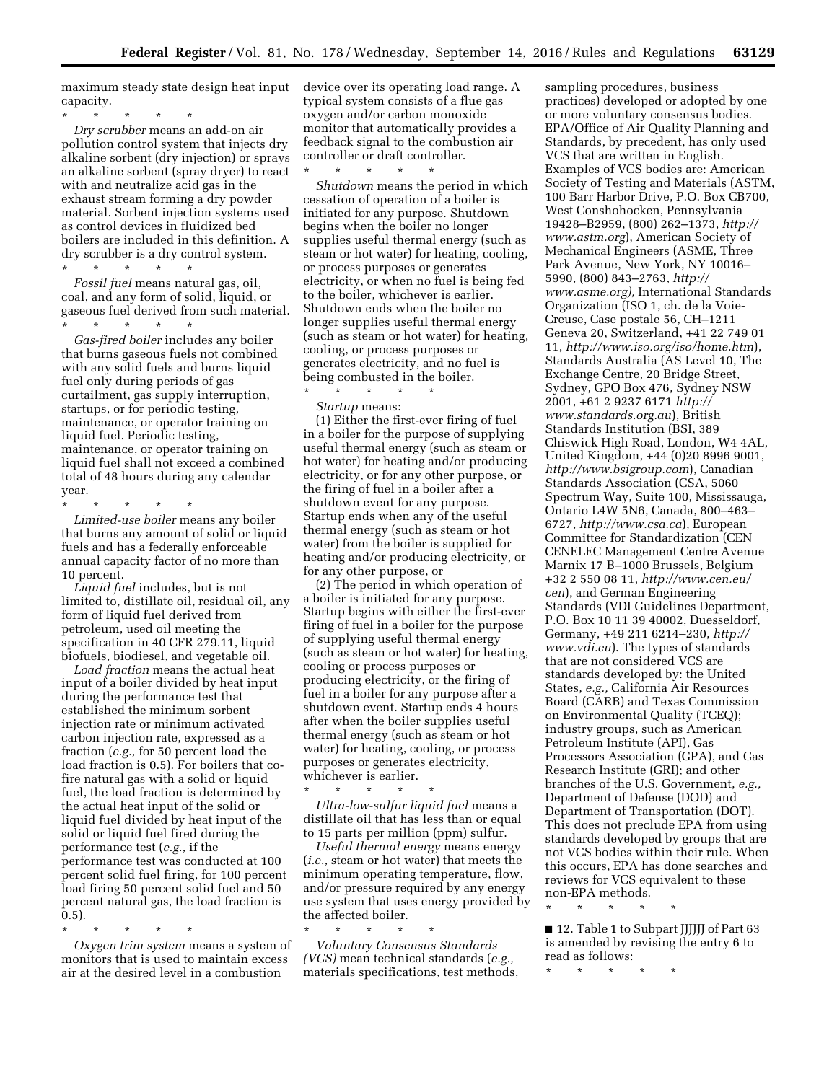maximum steady state design heat input capacity.

\* \* \* \* \* *Dry scrubber* means an add-on air pollution control system that injects dry alkaline sorbent (dry injection) or sprays an alkaline sorbent (spray dryer) to react with and neutralize acid gas in the exhaust stream forming a dry powder material. Sorbent injection systems used as control devices in fluidized bed boilers are included in this definition. A dry scrubber is a dry control system. \* \* \* \* \*

*Fossil fuel* means natural gas, oil, coal, and any form of solid, liquid, or gaseous fuel derived from such material. \* \* \* \* \*

*Gas-fired boiler* includes any boiler that burns gaseous fuels not combined with any solid fuels and burns liquid fuel only during periods of gas curtailment, gas supply interruption, startups, or for periodic testing, maintenance, or operator training on liquid fuel. Periodic testing, maintenance, or operator training on liquid fuel shall not exceed a combined total of 48 hours during any calendar year.

\* \* \* \* \*

*Limited-use boiler* means any boiler that burns any amount of solid or liquid fuels and has a federally enforceable annual capacity factor of no more than 10 percent.

*Liquid fuel* includes, but is not limited to, distillate oil, residual oil, any form of liquid fuel derived from petroleum, used oil meeting the specification in 40 CFR 279.11, liquid biofuels, biodiesel, and vegetable oil.

*Load fraction* means the actual heat input of a boiler divided by heat input during the performance test that established the minimum sorbent injection rate or minimum activated carbon injection rate, expressed as a fraction (*e.g.,* for 50 percent load the load fraction is 0.5). For boilers that cofire natural gas with a solid or liquid fuel, the load fraction is determined by the actual heat input of the solid or liquid fuel divided by heat input of the solid or liquid fuel fired during the performance test (*e.g.,* if the performance test was conducted at 100 percent solid fuel firing, for 100 percent load firing 50 percent solid fuel and 50 percent natural gas, the load fraction is 0.5).

\* \* \* \* \*

*Oxygen trim system* means a system of monitors that is used to maintain excess air at the desired level in a combustion

device over its operating load range. A typical system consists of a flue gas oxygen and/or carbon monoxide monitor that automatically provides a feedback signal to the combustion air controller or draft controller.

\* \* \* \* \* *Shutdown* means the period in which cessation of operation of a boiler is initiated for any purpose. Shutdown begins when the boiler no longer supplies useful thermal energy (such as steam or hot water) for heating, cooling, or process purposes or generates electricity, or when no fuel is being fed to the boiler, whichever is earlier. Shutdown ends when the boiler no longer supplies useful thermal energy (such as steam or hot water) for heating, cooling, or process purposes or generates electricity, and no fuel is being combusted in the boiler.

\* \* \* \* \* *Startup* means:

(1) Either the first-ever firing of fuel in a boiler for the purpose of supplying useful thermal energy (such as steam or hot water) for heating and/or producing electricity, or for any other purpose, or the firing of fuel in a boiler after a shutdown event for any purpose. Startup ends when any of the useful thermal energy (such as steam or hot water) from the boiler is supplied for heating and/or producing electricity, or for any other purpose, or

(2) The period in which operation of a boiler is initiated for any purpose. Startup begins with either the first-ever firing of fuel in a boiler for the purpose of supplying useful thermal energy (such as steam or hot water) for heating, cooling or process purposes or producing electricity, or the firing of fuel in a boiler for any purpose after a shutdown event. Startup ends 4 hours after when the boiler supplies useful thermal energy (such as steam or hot water) for heating, cooling, or process purposes or generates electricity, whichever is earlier.

\* \* \* \* \* *Ultra-low-sulfur liquid fuel* means a distillate oil that has less than or equal to 15 parts per million (ppm) sulfur.

*Useful thermal energy* means energy (*i.e.,* steam or hot water) that meets the minimum operating temperature, flow, and/or pressure required by any energy use system that uses energy provided by the affected boiler.

\* \* \* \* \* *Voluntary Consensus Standards (VCS)* mean technical standards (*e.g.,*  materials specifications, test methods, sampling procedures, business practices) developed or adopted by one or more voluntary consensus bodies. EPA/Office of Air Quality Planning and Standards, by precedent, has only used VCS that are written in English. Examples of VCS bodies are: American Society of Testing and Materials (ASTM, 100 Barr Harbor Drive, P.O. Box CB700, West Conshohocken, Pennsylvania 19428–B2959, (800) 262–1373, *[http://](http://www.astm.org) [www.astm.org](http://www.astm.org)*), American Society of Mechanical Engineers (ASME, Three Park Avenue, New York, NY 10016– 5990, (800) 843–2763, *[http://](http://www.asme.org) [www.asme.org\),](http://www.asme.org)* International Standards Organization (ISO 1, ch. de la Voie-Creuse, Case postale 56, CH–1211 Geneva 20, Switzerland, +41 22 749 01 11, *<http://www.iso.org/iso/home.htm>*), Standards Australia (AS Level 10, The Exchange Centre, 20 Bridge Street, Sydney, GPO Box 476, Sydney NSW 2001, +61 2 9237 6171 *[http://](http://www.standards.org.au) [www.standards.org.au](http://www.standards.org.au)*), British Standards Institution (BSI, 389 Chiswick High Road, London, W4 4AL, United Kingdom, +44 (0)20 8996 9001, *<http://www.bsigroup.com>*), Canadian Standards Association (CSA, 5060 Spectrum Way, Suite 100, Mississauga, Ontario L4W 5N6, Canada, 800–463– 6727, *<http://www.csa.ca>*), European Committee for Standardization (CEN CENELEC Management Centre Avenue Marnix 17 B–1000 Brussels, Belgium +32 2 550 08 11, *[http://www.cen.eu/](http://www.cen.eu/cen) [cen](http://www.cen.eu/cen)*), and German Engineering Standards (VDI Guidelines Department, P.O. Box 10 11 39 40002, Duesseldorf, Germany, +49 211 6214–230, *[http://](http://www.vdi.eu) [www.vdi.eu](http://www.vdi.eu)*). The types of standards that are not considered VCS are standards developed by: the United States, *e.g.,* California Air Resources Board (CARB) and Texas Commission on Environmental Quality (TCEQ); industry groups, such as American Petroleum Institute (API), Gas Processors Association (GPA), and Gas Research Institute (GRI); and other branches of the U.S. Government, *e.g.,*  Department of Defense (DOD) and Department of Transportation (DOT). This does not preclude EPA from using standards developed by groups that are not VCS bodies within their rule. When this occurs, EPA has done searches and reviews for VCS equivalent to these non-EPA methods.

\* \* \* \* \*

■ 12. Table 1 to Subpart JJJJJJ of Part 63 is amended by revising the entry 6 to read as follows:

\* \* \* \* \*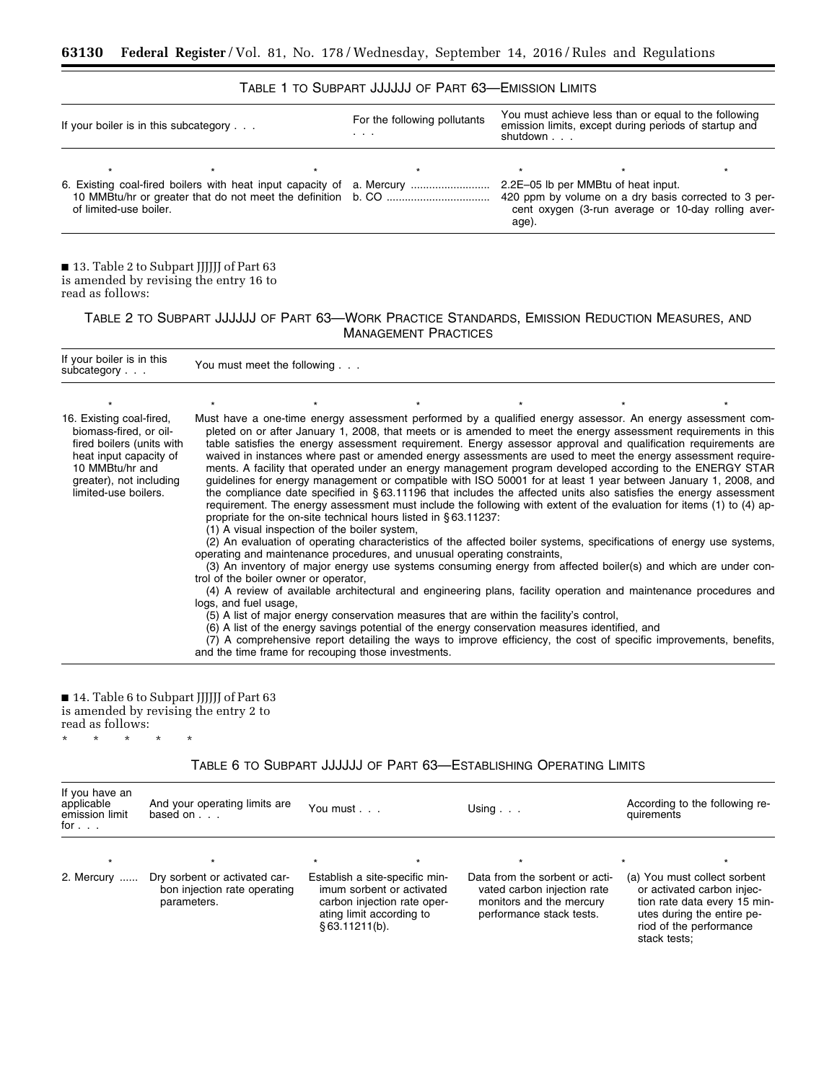## TABLE 1 TO SUBPART JJJJJJ OF PART 63—EMISSION LIMITS

| If your boiler is in this subcategory |  |  | For the following pollutants<br>.                                     | You must achieve less than or equal to the following<br>emission limits, except during periods of startup and<br>shutdown |                                                                                                                                                   |  |
|---------------------------------------|--|--|-----------------------------------------------------------------------|---------------------------------------------------------------------------------------------------------------------------|---------------------------------------------------------------------------------------------------------------------------------------------------|--|
| $\star$<br>of limited-use boiler.     |  |  | 6. Existing coal-fired boilers with heat input capacity of a. Mercury | age).                                                                                                                     | 2.2E-05 lb per MMBtu of heat input.<br>420 ppm by volume on a dry basis corrected to 3 per-<br>cent oxygen (3-run average or 10-day rolling aver- |  |

■ 13. Table 2 to Subpart JJJJJJ of Part 63 is amended by revising the entry 16 to read as follows:

۳

TABLE 2 TO SUBPART JJJJJJ OF PART 63—WORK PRACTICE STANDARDS, EMISSION REDUCTION MEASURES, AND MANAGEMENT PRACTICES

| If your boiler is in this<br>subcategory                                                                                                                                        |                       | You must meet the following                                                                                                                                                                                                                                                                                                                                                                                                                                                               |  |                                                                                                                                                                                                                                                                                                                                                                                                                                                                                                                                                                                                                                                                                                                                                                                                                                                                                                                                                                                                                                                                                                                                                                                                                                                                                                                                                                                                                                   |
|---------------------------------------------------------------------------------------------------------------------------------------------------------------------------------|-----------------------|-------------------------------------------------------------------------------------------------------------------------------------------------------------------------------------------------------------------------------------------------------------------------------------------------------------------------------------------------------------------------------------------------------------------------------------------------------------------------------------------|--|-----------------------------------------------------------------------------------------------------------------------------------------------------------------------------------------------------------------------------------------------------------------------------------------------------------------------------------------------------------------------------------------------------------------------------------------------------------------------------------------------------------------------------------------------------------------------------------------------------------------------------------------------------------------------------------------------------------------------------------------------------------------------------------------------------------------------------------------------------------------------------------------------------------------------------------------------------------------------------------------------------------------------------------------------------------------------------------------------------------------------------------------------------------------------------------------------------------------------------------------------------------------------------------------------------------------------------------------------------------------------------------------------------------------------------------|
|                                                                                                                                                                                 |                       |                                                                                                                                                                                                                                                                                                                                                                                                                                                                                           |  |                                                                                                                                                                                                                                                                                                                                                                                                                                                                                                                                                                                                                                                                                                                                                                                                                                                                                                                                                                                                                                                                                                                                                                                                                                                                                                                                                                                                                                   |
| 16. Existing coal-fired,<br>biomass-fired, or oil-<br>fired boilers (units with<br>heat input capacity of<br>10 MMBtu/hr and<br>greater), not including<br>limited-use boilers. | logs, and fuel usage, | propriate for the on-site technical hours listed in §63.11237.<br>(1) A visual inspection of the boiler system,<br>operating and maintenance procedures, and unusual operating constraints,<br>trol of the boiler owner or operator,<br>(5) A list of major energy conservation measures that are within the facility's control,<br>(6) A list of the energy savings potential of the energy conservation measures identified, and<br>and the time frame for recouping those investments. |  | Must have a one-time energy assessment performed by a qualified energy assessor. An energy assessment com-<br>pleted on or after January 1, 2008, that meets or is amended to meet the energy assessment requirements in this<br>table satisfies the energy assessment requirement. Energy assessor approval and qualification requirements are<br>waived in instances where past or amended energy assessments are used to meet the energy assessment require-<br>ments. A facility that operated under an energy management program developed according to the ENERGY STAR<br>quidelines for energy management or compatible with ISO 50001 for at least 1 year between January 1, 2008, and<br>the compliance date specified in $\S 63.11196$ that includes the affected units also satisfies the energy assessment<br>requirement. The energy assessment must include the following with extent of the evaluation for items (1) to (4) ap-<br>(2) An evaluation of operating characteristics of the affected boiler systems, specifications of energy use systems,<br>(3) An inventory of major energy use systems consuming energy from affected boiler(s) and which are under con-<br>(4) A review of available architectural and engineering plans, facility operation and maintenance procedures and<br>(7) A comprehensive report detailing the ways to improve efficiency, the cost of specific improvements, benefits, |

# ■ 14. Table 6 to Subpart JJJJJJ of Part 63

is amended by revising the entry 2 to

read as follows:

\* \* \* \* \*

# TABLE 6 TO SUBPART JJJJJJ OF PART 63—ESTABLISHING OPERATING LIMITS

| If you have an<br>applicable<br>emission limit<br>for $\ldots$ | And your operating limits are<br>based on $\ldots$                           | You must                                                                                                                                 |         | Using $\ldots$                                                                                                        | quirements   | According to the following re-                                                                                                                                 |
|----------------------------------------------------------------|------------------------------------------------------------------------------|------------------------------------------------------------------------------------------------------------------------------------------|---------|-----------------------------------------------------------------------------------------------------------------------|--------------|----------------------------------------------------------------------------------------------------------------------------------------------------------------|
| $\star$<br>2. Mercury                                          | Dry sorbent or activated car-<br>bon injection rate operating<br>parameters. | Establish a site-specific min-<br>imum sorbent or activated<br>carbon injection rate oper-<br>ating limit according to<br>\$63.11211(b). | $\star$ | Data from the sorbent or acti-<br>vated carbon injection rate<br>monitors and the mercury<br>performance stack tests. | stack tests: | $\star$<br>(a) You must collect sorbent<br>or activated carbon injec-<br>tion rate data every 15 min-<br>utes during the entire pe-<br>riod of the performance |